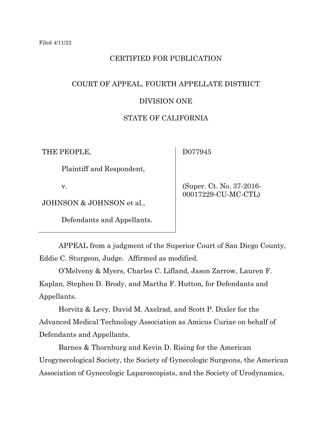# CERTIFIED FOR PUBLICATION

# COURT OF APPEAL, FOURTH APPELLATE DISTRICT

## DIVISION ONE

## STATE OF CALIFORNIA

THE PEOPLE,

D077945

Plaintiff and Respondent,

v.

JOHNSON & JOHNSON et al.,

Defendants and Appellants.

 (Super. Ct. No. 37-2016- 00017229-CU-MC-CTL)

APPEAL from a judgment of the Superior Court of San Diego County, Eddie C. Sturgeon, Judge. Affirmed as modified.

O'Melveny & Myers, Charles C. Lifland, Jason Zarrow, Lauren F. Kaplan, Stephen D. Brody, and Martha F. Hutton, for Defendants and Appellants.

Horvitz & Levy, David M. Axelrad, and Scott P. Dixler for the Advanced Medical Technology Association as Amicus Curiae on behalf of Defendants and Appellants.

Barnes & Thornburg and Kevin D. Rising for the American Urogynecological Society, the Society of Gynecologic Surgeons, the American Association of Gynecologic Laparoscopists, and the Society of Urodynamics,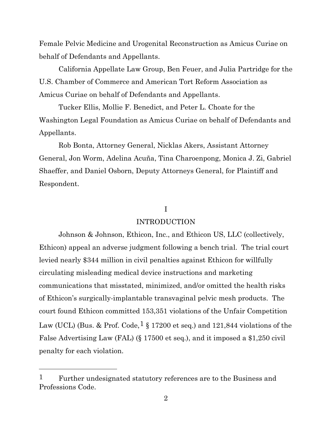Female Pelvic Medicine and Urogenital Reconstruction as Amicus Curiae on behalf of Defendants and Appellants.

California Appellate Law Group, Ben Feuer, and Julia Partridge for the U.S. Chamber of Commerce and American Tort Reform Association as Amicus Curiae on behalf of Defendants and Appellants.

Tucker Ellis, Mollie F. Benedict, and Peter L. Choate for the Washington Legal Foundation as Amicus Curiae on behalf of Defendants and Appellants.

Rob Bonta, Attorney General, Nicklas Akers, Assistant Attorney General, Jon Worm, Adelina Acuña, Tina Charoenpong, Monica J. Zi, Gabriel Shaeffer, and Daniel Osborn, Deputy Attorneys General, for Plaintiff and Respondent.

## I

## INTRODUCTION

Johnson & Johnson, Ethicon, Inc., and Ethicon US, LLC (collectively, Ethicon) appeal an adverse judgment following a bench trial. The trial court levied nearly \$344 million in civil penalties against Ethicon for willfully circulating misleading medical device instructions and marketing communications that misstated, minimized, and/or omitted the health risks of Ethicon's surgically-implantable transvaginal pelvic mesh products. The court found Ethicon committed 153,351 violations of the Unfair Competition Law (UCL) (Bus. & Prof. Code,  $\frac{1}{5}$  $\frac{1}{5}$  $\frac{1}{5}$  17200 et seq.) and 121,844 violations of the False Advertising Law (FAL) (§ 17500 et seq.), and it imposed a \$1,250 civil penalty for each violation.

<span id="page-1-0"></span><sup>&</sup>lt;sup>1</sup> Further undesignated statutory references are to the Business and Professions Code.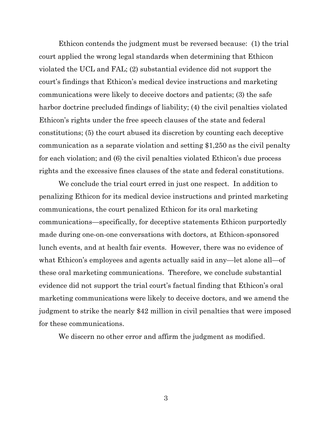Ethicon contends the judgment must be reversed because: (1) the trial court applied the wrong legal standards when determining that Ethicon violated the UCL and FAL; (2) substantial evidence did not support the court's findings that Ethicon's medical device instructions and marketing communications were likely to deceive doctors and patients; (3) the safe harbor doctrine precluded findings of liability; (4) the civil penalties violated Ethicon's rights under the free speech clauses of the state and federal constitutions; (5) the court abused its discretion by counting each deceptive communication as a separate violation and setting \$1,250 as the civil penalty for each violation; and (6) the civil penalties violated Ethicon's due process rights and the excessive fines clauses of the state and federal constitutions.

We conclude the trial court erred in just one respect. In addition to penalizing Ethicon for its medical device instructions and printed marketing communications, the court penalized Ethicon for its oral marketing communications—specifically, for deceptive statements Ethicon purportedly made during one-on-one conversations with doctors, at Ethicon-sponsored lunch events, and at health fair events. However, there was no evidence of what Ethicon's employees and agents actually said in any—let alone all—of these oral marketing communications. Therefore, we conclude substantial evidence did not support the trial court's factual finding that Ethicon's oral marketing communications were likely to deceive doctors, and we amend the judgment to strike the nearly \$42 million in civil penalties that were imposed for these communications.

We discern no other error and affirm the judgment as modified.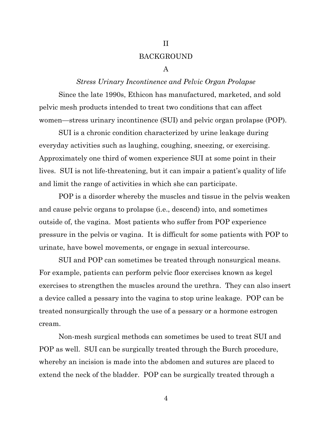## BACKGROUND

II

#### A

## *Stress Urinary Incontinence and Pelvic Organ Prolapse*

Since the late 1990s, Ethicon has manufactured, marketed, and sold pelvic mesh products intended to treat two conditions that can affect women—stress urinary incontinence (SUI) and pelvic organ prolapse (POP).

SUI is a chronic condition characterized by urine leakage during everyday activities such as laughing, coughing, sneezing, or exercising. Approximately one third of women experience SUI at some point in their lives. SUI is not life-threatening, but it can impair a patient's quality of life and limit the range of activities in which she can participate.

POP is a disorder whereby the muscles and tissue in the pelvis weaken and cause pelvic organs to prolapse (i.e., descend) into, and sometimes outside of, the vagina. Most patients who suffer from POP experience pressure in the pelvis or vagina. It is difficult for some patients with POP to urinate, have bowel movements, or engage in sexual intercourse.

SUI and POP can sometimes be treated through nonsurgical means. For example, patients can perform pelvic floor exercises known as kegel exercises to strengthen the muscles around the urethra. They can also insert a device called a pessary into the vagina to stop urine leakage. POP can be treated nonsurgically through the use of a pessary or a hormone estrogen cream.

Non-mesh surgical methods can sometimes be used to treat SUI and POP as well. SUI can be surgically treated through the Burch procedure, whereby an incision is made into the abdomen and sutures are placed to extend the neck of the bladder. POP can be surgically treated through a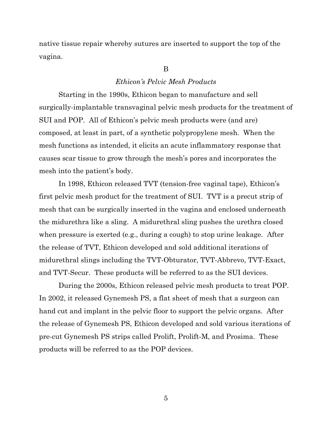native tissue repair whereby sutures are inserted to support the top of the vagina.

## B

## *Ethicon's Pelvic Mesh Products*

Starting in the 1990s, Ethicon began to manufacture and sell surgically-implantable transvaginal pelvic mesh products for the treatment of SUI and POP. All of Ethicon's pelvic mesh products were (and are) composed, at least in part, of a synthetic polypropylene mesh. When the mesh functions as intended, it elicits an acute inflammatory response that causes scar tissue to grow through the mesh's pores and incorporates the mesh into the patient's body.

In 1998, Ethicon released TVT (tension-free vaginal tape), Ethicon's first pelvic mesh product for the treatment of SUI. TVT is a precut strip of mesh that can be surgically inserted in the vagina and enclosed underneath the midurethra like a sling. A midurethral sling pushes the urethra closed when pressure is exerted (e.g., during a cough) to stop urine leakage. After the release of TVT, Ethicon developed and sold additional iterations of midurethral slings including the TVT-Obturator, TVT-Abbrevo, TVT-Exact, and TVT-Secur. These products will be referred to as the SUI devices.

During the 2000s, Ethicon released pelvic mesh products to treat POP. In 2002, it released Gynemesh PS, a flat sheet of mesh that a surgeon can hand cut and implant in the pelvic floor to support the pelvic organs. After the release of Gynemesh PS, Ethicon developed and sold various iterations of pre-cut Gynemesh PS strips called Prolift, Prolift-M, and Prosima. These products will be referred to as the POP devices.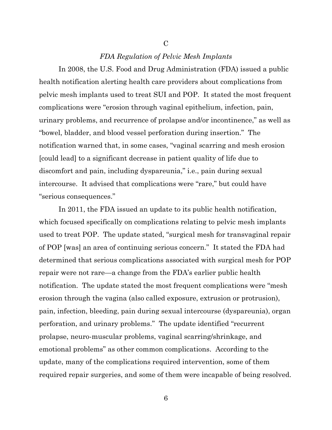## *FDA Regulation of Pelvic Mesh Implants*

 $\mathcal{C}$ 

In 2008, the U.S. Food and Drug Administration (FDA) issued a public health notification alerting health care providers about complications from pelvic mesh implants used to treat SUI and POP. It stated the most frequent complications were "erosion through vaginal epithelium, infection, pain, urinary problems, and recurrence of prolapse and/or incontinence," as well as "bowel, bladder, and blood vessel perforation during insertion." The notification warned that, in some cases, "vaginal scarring and mesh erosion [could lead] to a significant decrease in patient quality of life due to discomfort and pain, including dyspareunia," i.e., pain during sexual intercourse. It advised that complications were "rare," but could have "serious consequences."

In 2011, the FDA issued an update to its public health notification, which focused specifically on complications relating to pelvic mesh implants used to treat POP. The update stated, "surgical mesh for transvaginal repair of POP [was] an area of continuing serious concern." It stated the FDA had determined that serious complications associated with surgical mesh for POP repair were not rare—a change from the FDA's earlier public health notification. The update stated the most frequent complications were "mesh erosion through the vagina (also called exposure, extrusion or protrusion), pain, infection, bleeding, pain during sexual intercourse (dyspareunia), organ perforation, and urinary problems." The update identified "recurrent prolapse, neuro-muscular problems, vaginal scarring/shrinkage, and emotional problems" as other common complications. According to the update, many of the complications required intervention, some of them required repair surgeries, and some of them were incapable of being resolved.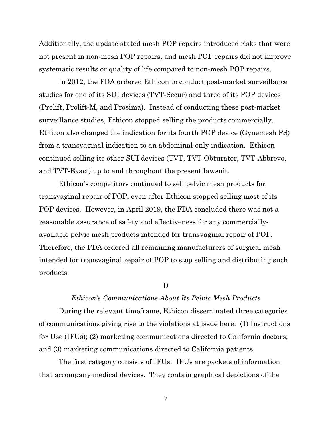Additionally, the update stated mesh POP repairs introduced risks that were not present in non-mesh POP repairs, and mesh POP repairs did not improve systematic results or quality of life compared to non-mesh POP repairs.

In 2012, the FDA ordered Ethicon to conduct post-market surveillance studies for one of its SUI devices (TVT-Secur) and three of its POP devices (Prolift, Prolift-M, and Prosima). Instead of conducting these post-market surveillance studies, Ethicon stopped selling the products commercially. Ethicon also changed the indication for its fourth POP device (Gynemesh PS) from a transvaginal indication to an abdominal-only indication. Ethicon continued selling its other SUI devices (TVT, TVT-Obturator, TVT-Abbrevo, and TVT-Exact) up to and throughout the present lawsuit.

Ethicon's competitors continued to sell pelvic mesh products for transvaginal repair of POP, even after Ethicon stopped selling most of its POP devices. However, in April 2019, the FDA concluded there was not a reasonable assurance of safety and effectiveness for any commerciallyavailable pelvic mesh products intended for transvaginal repair of POP. Therefore, the FDA ordered all remaining manufacturers of surgical mesh intended for transvaginal repair of POP to stop selling and distributing such products.

## D

#### *Ethicon's Communications About Its Pelvic Mesh Products*

During the relevant timeframe, Ethicon disseminated three categories of communications giving rise to the violations at issue here: (1) Instructions for Use (IFUs); (2) marketing communications directed to California doctors; and (3) marketing communications directed to California patients.

The first category consists of IFUs. IFUs are packets of information that accompany medical devices. They contain graphical depictions of the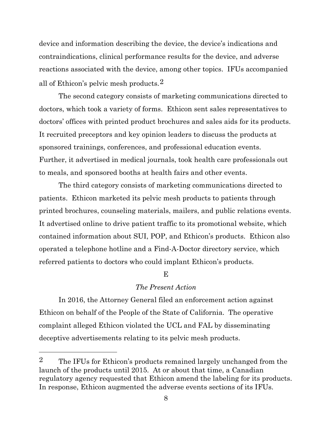device and information describing the device, the device's indications and contraindications, clinical performance results for the device, and adverse reactions associated with the device, among other topics. IFUs accompanied all of Ethicon's pelvic mesh products.[2](#page-7-0)

The second category consists of marketing communications directed to doctors, which took a variety of forms. Ethicon sent sales representatives to doctors' offices with printed product brochures and sales aids for its products. It recruited preceptors and key opinion leaders to discuss the products at sponsored trainings, conferences, and professional education events. Further, it advertised in medical journals, took health care professionals out to meals, and sponsored booths at health fairs and other events.

The third category consists of marketing communications directed to patients. Ethicon marketed its pelvic mesh products to patients through printed brochures, counseling materials, mailers, and public relations events. It advertised online to drive patient traffic to its promotional website, which contained information about SUI, POP, and Ethicon's products. Ethicon also operated a telephone hotline and a Find-A-Doctor directory service, which referred patients to doctors who could implant Ethicon's products.

#### $\mathbf{E}$

## *The Present Action*

In 2016, the Attorney General filed an enforcement action against Ethicon on behalf of the People of the State of California. The operative complaint alleged Ethicon violated the UCL and FAL by disseminating deceptive advertisements relating to its pelvic mesh products.

<span id="page-7-0"></span><sup>&</sup>lt;sup>2</sup> The IFUs for Ethicon's products remained largely unchanged from the launch of the products until 2015. At or about that time, a Canadian regulatory agency requested that Ethicon amend the labeling for its products. In response, Ethicon augmented the adverse events sections of its IFUs.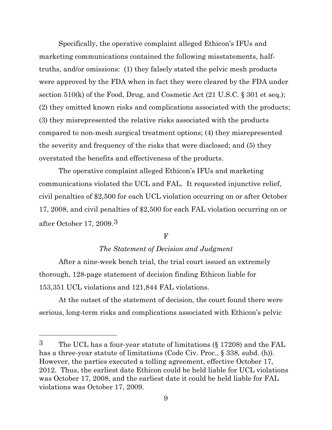Specifically, the operative complaint alleged Ethicon's IFUs and marketing communications contained the following misstatements, halftruths, and/or omissions: (1) they falsely stated the pelvic mesh products were approved by the FDA when in fact they were cleared by the FDA under section 510(k) of the Food, Drug, and Cosmetic Act (21 U.S.C. § 301 et seq.); (2) they omitted known risks and complications associated with the products; (3) they misrepresented the relative risks associated with the products compared to non-mesh surgical treatment options; (4) they misrepresented the severity and frequency of the risks that were disclosed; and (5) they overstated the benefits and effectiveness of the products.

The operative complaint alleged Ethicon's IFUs and marketing communications violated the UCL and FAL. It requested injunctive relief, civil penalties of \$2,500 for each UCL violation occurring on or after October 17, 2008, and civil penalties of \$2,500 for each FAL violation occurring on or after October 17, 2009.[3](#page-8-0)

## F

# *The Statement of Decision and Judgment*

After a nine-week bench trial, the trial court issued an extremely thorough, 128-page statement of decision finding Ethicon liable for 153,351 UCL violations and 121,844 FAL violations.

At the outset of the statement of decision, the court found there were serious, long-term risks and complications associated with Ethicon's pelvic

<span id="page-8-0"></span><sup>3</sup> The UCL has a four-year statute of limitations (§ 17208) and the FAL has a three-year statute of limitations (Code Civ. Proc., § 338, subd. (h)). However, the parties executed a tolling agreement, effective October 17, 2012. Thus, the earliest date Ethicon could be held liable for UCL violations was October 17, 2008, and the earliest date it could be held liable for FAL violations was October 17, 2009.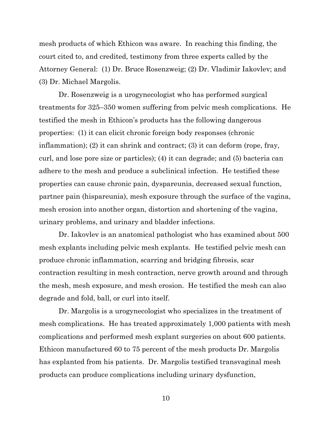mesh products of which Ethicon was aware. In reaching this finding, the court cited to, and credited, testimony from three experts called by the Attorney General: (1) Dr. Bruce Rosenzweig; (2) Dr. Vladimir Iakovlev; and (3) Dr. Michael Margolis.

Dr. Rosenzweig is a urogynecologist who has performed surgical treatments for 325–350 women suffering from pelvic mesh complications. He testified the mesh in Ethicon's products has the following dangerous properties: (1) it can elicit chronic foreign body responses (chronic inflammation); (2) it can shrink and contract; (3) it can deform (rope, fray, curl, and lose pore size or particles); (4) it can degrade; and (5) bacteria can adhere to the mesh and produce a subclinical infection. He testified these properties can cause chronic pain, dyspareunia, decreased sexual function, partner pain (hispareunia), mesh exposure through the surface of the vagina, mesh erosion into another organ, distortion and shortening of the vagina, urinary problems, and urinary and bladder infections.

Dr. Iakovlev is an anatomical pathologist who has examined about 500 mesh explants including pelvic mesh explants. He testified pelvic mesh can produce chronic inflammation, scarring and bridging fibrosis, scar contraction resulting in mesh contraction, nerve growth around and through the mesh, mesh exposure, and mesh erosion. He testified the mesh can also degrade and fold, ball, or curl into itself.

Dr. Margolis is a urogynecologist who specializes in the treatment of mesh complications. He has treated approximately 1,000 patients with mesh complications and performed mesh explant surgeries on about 600 patients. Ethicon manufactured 60 to 75 percent of the mesh products Dr. Margolis has explanted from his patients. Dr. Margolis testified transvaginal mesh products can produce complications including urinary dysfunction,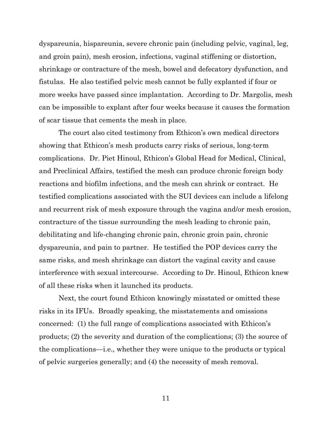dyspareunia, hispareunia, severe chronic pain (including pelvic, vaginal, leg, and groin pain), mesh erosion, infections, vaginal stiffening or distortion, shrinkage or contracture of the mesh, bowel and defecatory dysfunction, and fistulas. He also testified pelvic mesh cannot be fully explanted if four or more weeks have passed since implantation. According to Dr. Margolis, mesh can be impossible to explant after four weeks because it causes the formation of scar tissue that cements the mesh in place.

The court also cited testimony from Ethicon's own medical directors showing that Ethicon's mesh products carry risks of serious, long-term complications. Dr. Piet Hinoul, Ethicon's Global Head for Medical, Clinical, and Preclinical Affairs, testified the mesh can produce chronic foreign body reactions and biofilm infections, and the mesh can shrink or contract. He testified complications associated with the SUI devices can include a lifelong and recurrent risk of mesh exposure through the vagina and/or mesh erosion, contracture of the tissue surrounding the mesh leading to chronic pain, debilitating and life-changing chronic pain, chronic groin pain, chronic dyspareunia, and pain to partner. He testified the POP devices carry the same risks, and mesh shrinkage can distort the vaginal cavity and cause interference with sexual intercourse. According to Dr. Hinoul, Ethicon knew of all these risks when it launched its products.

Next, the court found Ethicon knowingly misstated or omitted these risks in its IFUs. Broadly speaking, the misstatements and omissions concerned: (1) the full range of complications associated with Ethicon's products; (2) the severity and duration of the complications; (3) the source of the complications—i.e., whether they were unique to the products or typical of pelvic surgeries generally; and (4) the necessity of mesh removal.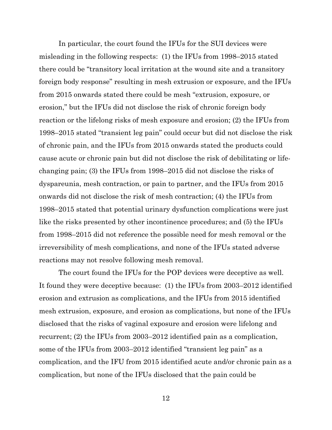In particular, the court found the IFUs for the SUI devices were misleading in the following respects: (1) the IFUs from 1998–2015 stated there could be "transitory local irritation at the wound site and a transitory foreign body response" resulting in mesh extrusion or exposure, and the IFUs from 2015 onwards stated there could be mesh "extrusion, exposure, or erosion," but the IFUs did not disclose the risk of chronic foreign body reaction or the lifelong risks of mesh exposure and erosion; (2) the IFUs from 1998–2015 stated "transient leg pain" could occur but did not disclose the risk of chronic pain, and the IFUs from 2015 onwards stated the products could cause acute or chronic pain but did not disclose the risk of debilitating or lifechanging pain; (3) the IFUs from 1998–2015 did not disclose the risks of dyspareunia, mesh contraction, or pain to partner, and the IFUs from 2015 onwards did not disclose the risk of mesh contraction; (4) the IFUs from 1998–2015 stated that potential urinary dysfunction complications were just like the risks presented by other incontinence procedures; and (5) the IFUs from 1998–2015 did not reference the possible need for mesh removal or the irreversibility of mesh complications, and none of the IFUs stated adverse reactions may not resolve following mesh removal.

The court found the IFUs for the POP devices were deceptive as well. It found they were deceptive because: (1) the IFUs from 2003–2012 identified erosion and extrusion as complications, and the IFUs from 2015 identified mesh extrusion, exposure, and erosion as complications, but none of the IFUs disclosed that the risks of vaginal exposure and erosion were lifelong and recurrent; (2) the IFUs from 2003–2012 identified pain as a complication, some of the IFUs from 2003–2012 identified "transient leg pain" as a complication, and the IFU from 2015 identified acute and/or chronic pain as a complication, but none of the IFUs disclosed that the pain could be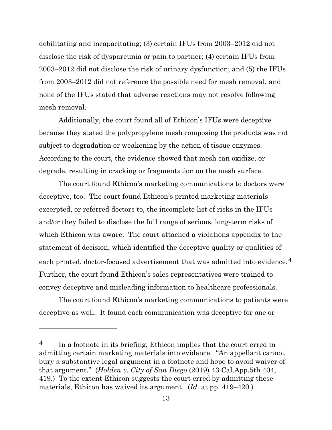debilitating and incapacitating; (3) certain IFUs from 2003–2012 did not disclose the risk of dyspareunia or pain to partner; (4) certain IFUs from 2003–2012 did not disclose the risk of urinary dysfunction; and (5) the IFUs from 2003–2012 did not reference the possible need for mesh removal, and none of the IFUs stated that adverse reactions may not resolve following mesh removal.

Additionally, the court found all of Ethicon's IFUs were deceptive because they stated the polypropylene mesh composing the products was not subject to degradation or weakening by the action of tissue enzymes. According to the court, the evidence showed that mesh can oxidize, or degrade, resulting in cracking or fragmentation on the mesh surface.

The court found Ethicon's marketing communications to doctors were deceptive, too. The court found Ethicon's printed marketing materials excerpted, or referred doctors to, the incomplete list of risks in the IFUs and/or they failed to disclose the full range of serious, long-term risks of which Ethicon was aware. The court attached a violations appendix to the statement of decision, which identified the deceptive quality or qualities of each printed, doctor-focused advertisement that was admitted into evidence.<sup>4</sup> Further, the court found Ethicon's sales representatives were trained to convey deceptive and misleading information to healthcare professionals.

The court found Ethicon's marketing communications to patients were deceptive as well. It found each communication was deceptive for one or

<span id="page-12-0"></span> $\frac{4}{10}$  In a footnote in its briefing, Ethicon implies that the court erred in admitting certain marketing materials into evidence. "An appellant cannot bury a substantive legal argument in a footnote and hope to avoid waiver of that argument." (*Holden v. City of San Diego* (2019) 43 Cal.App.5th 404, 419.) To the extent Ethicon suggests the court erred by admitting these materials, Ethicon has waived its argument. (*Id*. at pp. 419–420.)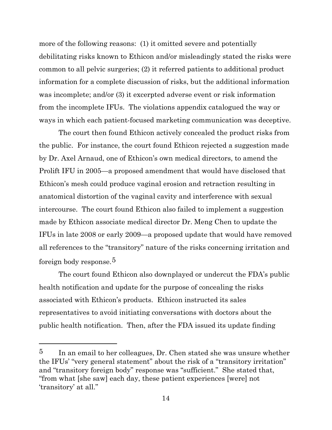more of the following reasons: (1) it omitted severe and potentially debilitating risks known to Ethicon and/or misleadingly stated the risks were common to all pelvic surgeries; (2) it referred patients to additional product information for a complete discussion of risks, but the additional information was incomplete; and/or (3) it excerpted adverse event or risk information from the incomplete IFUs. The violations appendix catalogued the way or ways in which each patient-focused marketing communication was deceptive.

The court then found Ethicon actively concealed the product risks from the public. For instance, the court found Ethicon rejected a suggestion made by Dr. Axel Arnaud, one of Ethicon's own medical directors, to amend the Prolift IFU in 2005—a proposed amendment that would have disclosed that Ethicon's mesh could produce vaginal erosion and retraction resulting in anatomical distortion of the vaginal cavity and interference with sexual intercourse. The court found Ethicon also failed to implement a suggestion made by Ethicon associate medical director Dr. Meng Chen to update the IFUs in late 2008 or early 2009—a proposed update that would have removed all references to the "transitory" nature of the risks concerning irritation and foreign body response.[5](#page-13-0)

The court found Ethicon also downplayed or undercut the FDA's public health notification and update for the purpose of concealing the risks associated with Ethicon's products. Ethicon instructed its sales representatives to avoid initiating conversations with doctors about the public health notification. Then, after the FDA issued its update finding

<span id="page-13-0"></span> $5$  In an email to her colleagues, Dr. Chen stated she was unsure whether the IFUs' "very general statement" about the risk of a "transitory irritation" and "transitory foreign body" response was "sufficient." She stated that, "from what [she saw] each day, these patient experiences [were] not 'transitory' at all."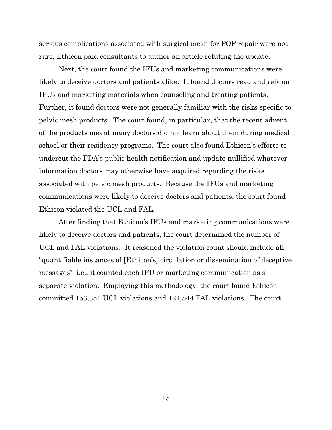serious complications associated with surgical mesh for POP repair were not rare, Ethicon paid consultants to author an article refuting the update.

Next, the court found the IFUs and marketing communications were likely to deceive doctors and patients alike. It found doctors read and rely on IFUs and marketing materials when counseling and treating patients. Further, it found doctors were not generally familiar with the risks specific to pelvic mesh products. The court found, in particular, that the recent advent of the products meant many doctors did not learn about them during medical school or their residency programs. The court also found Ethicon's efforts to undercut the FDA's public health notification and update nullified whatever information doctors may otherwise have acquired regarding the risks associated with pelvic mesh products. Because the IFUs and marketing communications were likely to deceive doctors and patients, the court found Ethicon violated the UCL and FAL.

After finding that Ethicon's IFUs and marketing communications were likely to deceive doctors and patients, the court determined the number of UCL and FAL violations. It reasoned the violation count should include all "quantifiable instances of [Ethicon's] circulation or dissemination of deceptive messages"–i.e., it counted each IFU or marketing communication as a separate violation. Employing this methodology, the court found Ethicon committed 153,351 UCL violations and 121,844 FAL violations. The court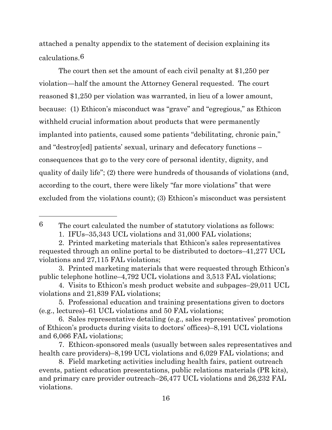attached a penalty appendix to the statement of decision explaining its calculations.[6](#page-15-0)

The court then set the amount of each civil penalty at \$1,250 per violation—half the amount the Attorney General requested. The court reasoned \$1,250 per violation was warranted, in lieu of a lower amount, because: (1) Ethicon's misconduct was "grave" and "egregious," as Ethicon withheld crucial information about products that were permanently implanted into patients, caused some patients "debilitating, chronic pain," and "destroy[ed] patients' sexual, urinary and defecatory functions – consequences that go to the very core of personal identity, dignity, and quality of daily life"; (2) there were hundreds of thousands of violations (and, according to the court, there were likely "far more violations" that were excluded from the violations count); (3) Ethicon's misconduct was persistent

<span id="page-15-0"></span><sup>6</sup> The court calculated the number of statutory violations as follows:

<sup>1.</sup> IFUs–35,343 UCL violations and 31,000 FAL violations;

<sup>2.</sup> Printed marketing materials that Ethicon's sales representatives requested through an online portal to be distributed to doctors–41,277 UCL violations and 27,115 FAL violations;

<sup>3.</sup> Printed marketing materials that were requested through Ethicon's public telephone hotline–4,792 UCL violations and 3,513 FAL violations;

<sup>4.</sup> Visits to Ethicon's mesh product website and subpages–29,011 UCL violations and 21,839 FAL violations;

<sup>5.</sup> Professional education and training presentations given to doctors (e.g., lectures)–61 UCL violations and 50 FAL violations;

<sup>6.</sup> Sales representative detailing (e.g., sales representatives' promotion of Ethicon's products during visits to doctors' offices)–8,191 UCL violations and 6,066 FAL violations;

<sup>7.</sup> Ethicon-sponsored meals (usually between sales representatives and health care providers)–8,199 UCL violations and 6,029 FAL violations; and

<sup>8.</sup> Field marketing activities including health fairs, patient outreach events, patient education presentations, public relations materials (PR kits), and primary care provider outreach–26,477 UCL violations and 26,232 FAL violations.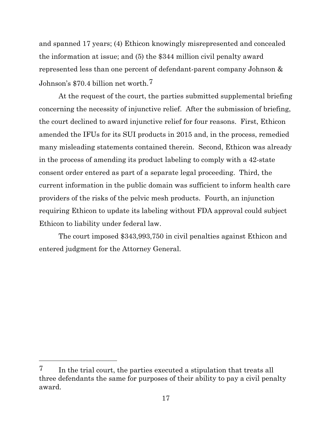and spanned 17 years; (4) Ethicon knowingly misrepresented and concealed the information at issue; and (5) the \$344 million civil penalty award represented less than one percent of defendant-parent company Johnson & Johnson's \$70.4 billion net worth.[7](#page-16-0)

At the request of the court, the parties submitted supplemental briefing concerning the necessity of injunctive relief. After the submission of briefing, the court declined to award injunctive relief for four reasons. First, Ethicon amended the IFUs for its SUI products in 2015 and, in the process, remedied many misleading statements contained therein. Second, Ethicon was already in the process of amending its product labeling to comply with a 42-state consent order entered as part of a separate legal proceeding. Third, the current information in the public domain was sufficient to inform health care providers of the risks of the pelvic mesh products. Fourth, an injunction requiring Ethicon to update its labeling without FDA approval could subject Ethicon to liability under federal law.

The court imposed \$343,993,750 in civil penalties against Ethicon and entered judgment for the Attorney General.

<span id="page-16-0"></span><sup>7</sup> In the trial court, the parties executed a stipulation that treats all three defendants the same for purposes of their ability to pay a civil penalty award.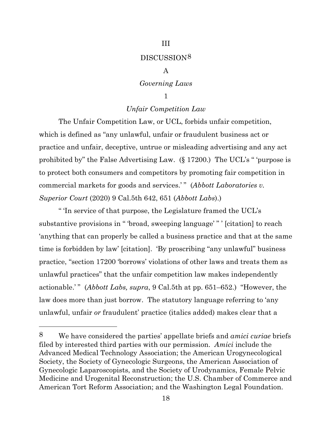#### III

## DISCUSSION[8](#page-17-0)

## A

## *Governing Laws*

## 1

## *Unfair Competition Law*

The Unfair Competition Law, or UCL, forbids unfair competition, which is defined as "any unlawful, unfair or fraudulent business act or practice and unfair, deceptive, untrue or misleading advertising and any act prohibited by" the False Advertising Law. (§ 17200.) The UCL's " 'purpose is to protect both consumers and competitors by promoting fair competition in commercial markets for goods and services.'" (*Abbott Laboratories v. Superior Court* (2020) 9 Cal.5th 642, 651 (*Abbott Labs*).)

" 'In service of that purpose, the Legislature framed the UCL's substantive provisions in " 'broad, sweeping language' " ' [citation] to reach 'anything that can properly be called a business practice and that at the same time is forbidden by law' [citation]. 'By proscribing "any unlawful" business practice, "section 17200 'borrows' violations of other laws and treats them as unlawful practices" that the unfair competition law makes independently actionable.'" (*Abbott Labs, supra,* 9 Cal.5th at pp. 651–652.) "However, the law does more than just borrow. The statutory language referring to 'any unlawful, unfair *or* fraudulent' practice (italics added) makes clear that a

<span id="page-17-0"></span><sup>8</sup> We have considered the parties' appellate briefs and *amici curiae* briefs filed by interested third parties with our permission. *Amici* include the Advanced Medical Technology Association; the American Urogynecological Society, the Society of Gynecologic Surgeons, the American Association of Gynecologic Laparoscopists, and the Society of Urodynamics, Female Pelvic Medicine and Urogenital Reconstruction; the U.S. Chamber of Commerce and American Tort Reform Association; and the Washington Legal Foundation.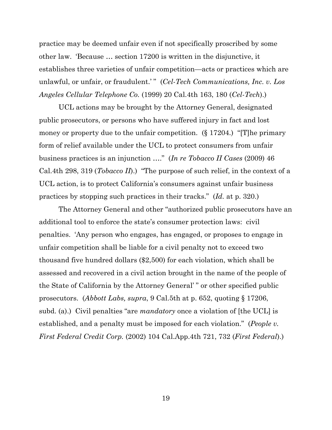practice may be deemed unfair even if not specifically proscribed by some other law. 'Because … section 17200 is written in the disjunctive, it establishes three varieties of unfair competition—acts or practices which are unlawful, or unfair, or fraudulent.' " (*Cel-Tech Communications, Inc. v. Los Angeles Cellular Telephone Co.* (1999) 20 Cal.4th 163, 180 (*Cel-Tech*).)

UCL actions may be brought by the Attorney General, designated public prosecutors, or persons who have suffered injury in fact and lost money or property due to the unfair competition. (§ 17204.) "[T]he primary form of relief available under the UCL to protect consumers from unfair business practices is an injunction …." (*In re Tobacco II Cases* (2009) 46 Cal.4th 298, 319 (*Tobacco II*).) "The purpose of such relief, in the context of a UCL action, is to protect California's consumers against unfair business practices by stopping such practices in their tracks." (*Id.* at p. 320.)

The Attorney General and other "authorized public prosecutors have an additional tool to enforce the state's consumer protection laws: civil penalties. 'Any person who engages, has engaged, or proposes to engage in unfair competition shall be liable for a civil penalty not to exceed two thousand five hundred dollars (\$2,500) for each violation, which shall be assessed and recovered in a civil action brought in the name of the people of the State of California by the Attorney General' " or other specified public prosecutors. (*Abbott Labs, supra*, 9 Cal.5th at p. 652, quoting § 17206, subd. (a).) Civil penalties "are *mandatory* once a violation of [the UCL] is established, and a penalty must be imposed for each violation." (*People v. First Federal Credit Corp.* (2002) 104 Cal.App.4th 721, 732 (*First Federal*).)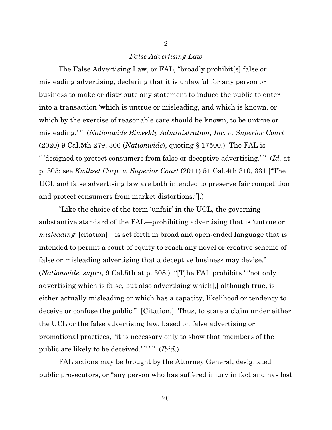## *False Advertising Law*

2

The False Advertising Law, or FAL, "broadly prohibit[s] false or misleading advertising, declaring that it is unlawful for any person or business to make or distribute any statement to induce the public to enter into a transaction 'which is untrue or misleading, and which is known, or which by the exercise of reasonable care should be known, to be untrue or misleading.'" (*Nationwide Biweekly Administration, Inc. v. Superior Court* (2020) 9 Cal.5th 279, 306 (*Nationwide*), quoting § 17500.) The FAL is " 'designed to protect consumers from false or deceptive advertising.' " (*Id.* at p. 305; see *Kwikset Corp. v. Superior Court* (2011) 51 Cal.4th 310, 331 ["The UCL and false advertising law are both intended to preserve fair competition and protect consumers from market distortions."]*.*)

"Like the choice of the term 'unfair' in the UCL, the governing substantive standard of the FAL—prohibiting advertising that is 'untrue or *misleading*' [citation]—is set forth in broad and open-ended language that is intended to permit a court of equity to reach any novel or creative scheme of false or misleading advertising that a deceptive business may devise." (*Nationwide, supra*, 9 Cal.5th at p. 308.) "[T]he FAL prohibits ' "not only advertising which is false, but also advertising which[,] although true, is either actually misleading or which has a capacity, likelihood or tendency to deceive or confuse the public." [Citation.] Thus, to state a claim under either the UCL or the false advertising law, based on false advertising or promotional practices, "it is necessary only to show that 'members of the public are likely to be deceived.'" " " (*Ibid.*)

FAL actions may be brought by the Attorney General, designated public prosecutors, or "any person who has suffered injury in fact and has lost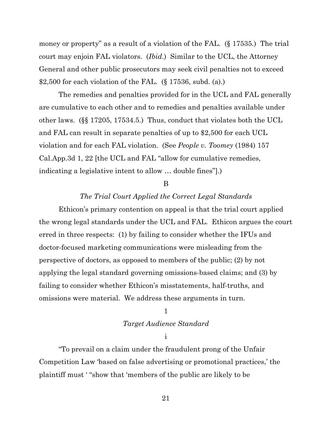money or property" as a result of a violation of the FAL. (§ 17535.) The trial court may enjoin FAL violators. (*Ibid*.) Similar to the UCL, the Attorney General and other public prosecutors may seek civil penalties not to exceed \$2,500 for each violation of the FAL. (§ 17536, subd. (a).)

The remedies and penalties provided for in the UCL and FAL generally are cumulative to each other and to remedies and penalties available under other laws. (§§ 17205, 17534.5.) Thus, conduct that violates both the UCL and FAL can result in separate penalties of up to \$2,500 for each UCL violation and for each FAL violation. (See *People v. Toomey* (1984) 157 Cal.App.3d 1, 22 [the UCL and FAL "allow for cumulative remedies, indicating a legislative intent to allow … double fines"].)

#### B

## *The Trial Court Applied the Correct Legal Standards*

Ethicon's primary contention on appeal is that the trial court applied the wrong legal standards under the UCL and FAL. Ethicon argues the court erred in three respects: (1) by failing to consider whether the IFUs and doctor-focused marketing communications were misleading from the perspective of doctors, as opposed to members of the public; (2) by not applying the legal standard governing omissions-based claims; and (3) by failing to consider whether Ethicon's misstatements, half-truths, and omissions were material. We address these arguments in turn.

#### 1

## *Target Audience Standard*

#### i

"To prevail on a claim under the fraudulent prong of the Unfair Competition Law 'based on false advertising or promotional practices,' the plaintiff must ' "show that 'members of the public are likely to be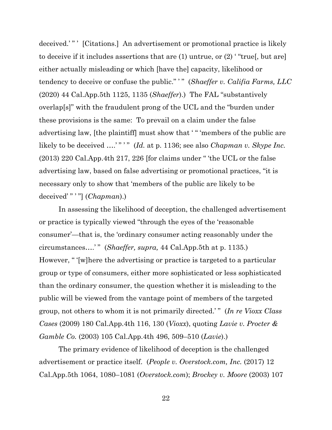deceived.'" ' [Citations.] An advertisement or promotional practice is likely to deceive if it includes assertions that are (1) untrue, or (2) ' "true[, but are] either actually misleading or which [have the] capacity, likelihood or tendency to deceive or confuse the public." " (*Shaeffer v. Califia Farms, LLC* (2020) 44 Cal.App.5th 1125, 1135 (*Shaeffer*).) The FAL "substantively overlap[s]" with the fraudulent prong of the UCL and the "burden under these provisions is the same: To prevail on a claim under the false advertising law, [the plaintiff] must show that ' " 'members of the public are likely to be deceived ....'"'" (*Id.* at p. 1136; see also *Chapman v. Skype Inc.* (2013) 220 Cal.App.4th 217, 226 [for claims under " 'the UCL or the false advertising law, based on false advertising or promotional practices, "it is necessary only to show that 'members of the public are likely to be deceived' " ' "] (*Chapman*).)

In assessing the likelihood of deception, the challenged advertisement or practice is typically viewed "through the eyes of the 'reasonable consumer'—that is, the 'ordinary consumer acting reasonably under the circumstances….' " (*Shaeffer, supra,* 44 Cal.App.5th at p. 1135.) However, " '[w]here the advertising or practice is targeted to a particular group or type of consumers, either more sophisticated or less sophisticated than the ordinary consumer, the question whether it is misleading to the public will be viewed from the vantage point of members of the targeted group, not others to whom it is not primarily directed.' " (*In re Vioxx Class Cases* (2009) 180 Cal.App.4th 116, 130 (*Vioxx*), quoting *Lavie v. Procter & Gamble Co.* (2003) 105 Cal.App.4th 496, 509–510 (*Lavie*).)

The primary evidence of likelihood of deception is the challenged advertisement or practice itself. (*People v. Overstock.com, Inc.* (2017) 12 Cal.App.5th 1064, 1080–1081 (*Overstock.com*); *Brockey v. Moore* (2003) 107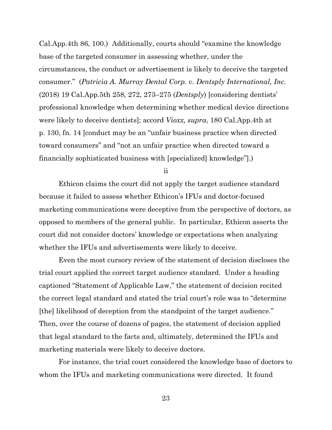Cal.App.4th 86, 100.) Additionally, courts should "examine the knowledge base of the targeted consumer in assessing whether, under the circumstances, the conduct or advertisement is likely to deceive the targeted consumer." (*Patricia A. Murray Dental Corp. v. Dentsply International, Inc.*  (2018) 19 Cal.App.5th 258, 272, 273–275 (*Dentsply*) [considering dentists' professional knowledge when determining whether medical device directions were likely to deceive dentists]; accord *Vioxx, supra*, 180 Cal.App.4th at p. 130, fn. 14 [conduct may be an "unfair business practice when directed toward consumers" and "not an unfair practice when directed toward a financially sophisticated business with [specialized] knowledge"].)

ii

Ethicon claims the court did not apply the target audience standard because it failed to assess whether Ethicon's IFUs and doctor-focused marketing communications were deceptive from the perspective of doctors, as opposed to members of the general public. In particular, Ethicon asserts the court did not consider doctors' knowledge or expectations when analyzing whether the IFUs and advertisements were likely to deceive.

Even the most cursory review of the statement of decision discloses the trial court applied the correct target audience standard. Under a heading captioned "Statement of Applicable Law," the statement of decision recited the correct legal standard and stated the trial court's role was to "determine [the] likelihood of deception from the standpoint of the target audience." Then, over the course of dozens of pages, the statement of decision applied that legal standard to the facts and, ultimately, determined the IFUs and marketing materials were likely to deceive doctors.

For instance, the trial court considered the knowledge base of doctors to whom the IFUs and marketing communications were directed. It found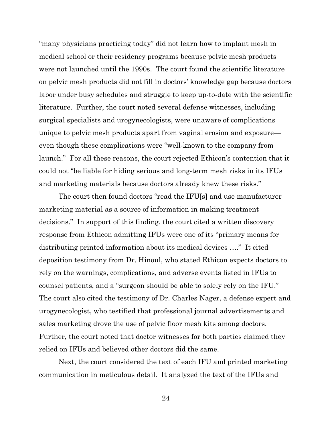"many physicians practicing today" did not learn how to implant mesh in medical school or their residency programs because pelvic mesh products were not launched until the 1990s. The court found the scientific literature on pelvic mesh products did not fill in doctors' knowledge gap because doctors labor under busy schedules and struggle to keep up-to-date with the scientific literature. Further, the court noted several defense witnesses, including surgical specialists and urogynecologists, were unaware of complications unique to pelvic mesh products apart from vaginal erosion and exposure even though these complications were "well-known to the company from launch." For all these reasons, the court rejected Ethicon's contention that it could not "be liable for hiding serious and long-term mesh risks in its IFUs and marketing materials because doctors already knew these risks."

The court then found doctors "read the IFU[s] and use manufacturer marketing material as a source of information in making treatment decisions." In support of this finding, the court cited a written discovery response from Ethicon admitting IFUs were one of its "primary means for distributing printed information about its medical devices …." It cited deposition testimony from Dr. Hinoul, who stated Ethicon expects doctors to rely on the warnings, complications, and adverse events listed in IFUs to counsel patients, and a "surgeon should be able to solely rely on the IFU." The court also cited the testimony of Dr. Charles Nager, a defense expert and urogynecologist, who testified that professional journal advertisements and sales marketing drove the use of pelvic floor mesh kits among doctors. Further, the court noted that doctor witnesses for both parties claimed they relied on IFUs and believed other doctors did the same.

Next, the court considered the text of each IFU and printed marketing communication in meticulous detail. It analyzed the text of the IFUs and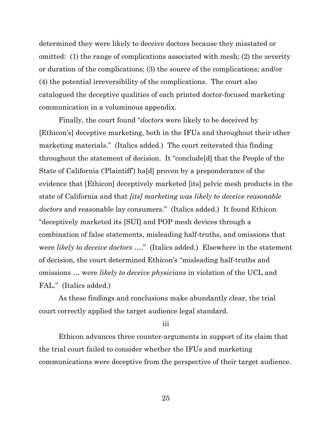determined they were likely to deceive doctors because they misstated or omitted: (1) the range of complications associated with mesh; (2) the severity or duration of the complications; (3) the source of the complications; and/or (4) the potential irreversibility of the complications. The court also catalogued the deceptive qualities of each printed doctor-focused marketing communication in a voluminous appendix.

Finally, the court found "*doctors* were likely to be deceived by [Ethicon's] deceptive marketing, both in the IFUs and throughout their other marketing materials." (Italics added.) The court reiterated this finding throughout the statement of decision. It "conclude[d] that the People of the State of California ('Plaintiff') ha[d] proven by a preponderance of the evidence that [Ethicon] deceptively marketed [its] pelvic mesh products in the state of California and that *[its] marketing was likely to deceive reasonable doctors* and reasonable lay consumers." (Italics added.) It found Ethicon "deceptively marketed its [SUI] and POP mesh devices through a combination of false statements, misleading half-truths, and omissions that were *likely to deceive doctors* …." (Italics added.) Elsewhere in the statement of decision, the court determined Ethicon's "misleading half-truths and omissions … were *likely to deceive physicians* in violation of the UCL and FAL." (Italics added.)

As these findings and conclusions make abundantly clear, the trial court correctly applied the target audience legal standard.

iii

Ethicon advances three counter-arguments in support of its claim that the trial court failed to consider whether the IFUs and marketing communications were deceptive from the perspective of their target audience.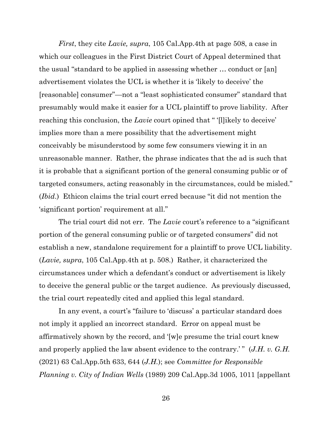*First*, they cite *Lavie, supra*, 105 Cal.App.4th at page 508, a case in which our colleagues in the First District Court of Appeal determined that the usual "standard to be applied in assessing whether … conduct or [an] advertisement violates the UCL is whether it is 'likely to deceive' the [reasonable] consumer"—not a "least sophisticated consumer" standard that presumably would make it easier for a UCL plaintiff to prove liability. After reaching this conclusion, the *Lavie* court opined that " '[l]ikely to deceive' implies more than a mere possibility that the advertisement might conceivably be misunderstood by some few consumers viewing it in an unreasonable manner. Rather, the phrase indicates that the ad is such that it is probable that a significant portion of the general consuming public or of targeted consumers, acting reasonably in the circumstances, could be misled." (*Ibid*.) Ethicon claims the trial court erred because "it did not mention the 'significant portion' requirement at all."

The trial court did not err. The *Lavie* court's reference to a "significant portion of the general consuming public or of targeted consumers" did not establish a new, standalone requirement for a plaintiff to prove UCL liability. (*Lavie, supra*, 105 Cal.App.4th at p. 508.) Rather, it characterized the circumstances under which a defendant's conduct or advertisement is likely to deceive the general public or the target audience. As previously discussed, the trial court repeatedly cited and applied this legal standard.

In any event, a court's "failure to 'discuss' a particular standard does not imply it applied an incorrect standard. Error on appeal must be affirmatively shown by the record, and '[w]e presume the trial court knew and properly applied the law absent evidence to the contrary.'" (*J.H. v. G.H.* (2021) 63 Cal.App.5th 633, 644 (*J.H.*); see *Committee for Responsible Planning v. City of Indian Wells* (1989) 209 Cal.App.3d 1005, 1011 [appellant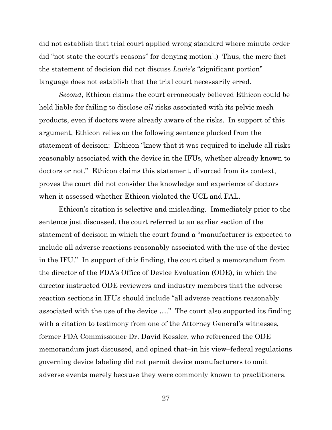did not establish that trial court applied wrong standard where minute order did "not state the court's reasons" for denying motion].) Thus, the mere fact the statement of decision did not discuss *Lavie*'s "significant portion" language does not establish that the trial court necessarily erred.

*Second*, Ethicon claims the court erroneously believed Ethicon could be held liable for failing to disclose *all* risks associated with its pelvic mesh products, even if doctors were already aware of the risks. In support of this argument, Ethicon relies on the following sentence plucked from the statement of decision: Ethicon "knew that it was required to include all risks reasonably associated with the device in the IFUs, whether already known to doctors or not." Ethicon claims this statement, divorced from its context, proves the court did not consider the knowledge and experience of doctors when it assessed whether Ethicon violated the UCL and FAL.

Ethicon's citation is selective and misleading. Immediately prior to the sentence just discussed, the court referred to an earlier section of the statement of decision in which the court found a "manufacturer is expected to include all adverse reactions reasonably associated with the use of the device in the IFU." In support of this finding, the court cited a memorandum from the director of the FDA's Office of Device Evaluation (ODE), in which the director instructed ODE reviewers and industry members that the adverse reaction sections in IFUs should include "all adverse reactions reasonably associated with the use of the device …." The court also supported its finding with a citation to testimony from one of the Attorney General's witnesses, former FDA Commissioner Dr. David Kessler, who referenced the ODE memorandum just discussed, and opined that–in his view–federal regulations governing device labeling did not permit device manufacturers to omit adverse events merely because they were commonly known to practitioners.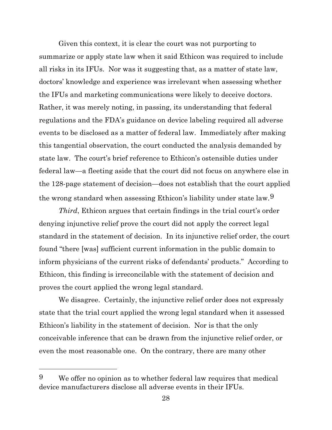Given this context, it is clear the court was not purporting to summarize or apply state law when it said Ethicon was required to include all risks in its IFUs. Nor was it suggesting that, as a matter of state law, doctors' knowledge and experience was irrelevant when assessing whether the IFUs and marketing communications were likely to deceive doctors. Rather, it was merely noting, in passing, its understanding that federal regulations and the FDA's guidance on device labeling required all adverse events to be disclosed as a matter of federal law. Immediately after making this tangential observation, the court conducted the analysis demanded by state law. The court's brief reference to Ethicon's ostensible duties under federal law—a fleeting aside that the court did not focus on anywhere else in the 128-page statement of decision—does not establish that the court applied the wrong standard when assessing Ethicon's liability under state law.[9](#page-27-0)

*Third*, Ethicon argues that certain findings in the trial court's order denying injunctive relief prove the court did not apply the correct legal standard in the statement of decision. In its injunctive relief order, the court found "there [was] sufficient current information in the public domain to inform physicians of the current risks of defendants' products." According to Ethicon, this finding is irreconcilable with the statement of decision and proves the court applied the wrong legal standard.

We disagree. Certainly, the injunctive relief order does not expressly state that the trial court applied the wrong legal standard when it assessed Ethicon's liability in the statement of decision. Nor is that the only conceivable inference that can be drawn from the injunctive relief order, or even the most reasonable one. On the contrary, there are many other

<span id="page-27-0"></span><sup>9</sup> We offer no opinion as to whether federal law requires that medical device manufacturers disclose all adverse events in their IFUs.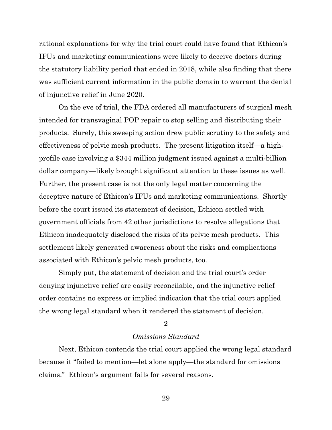rational explanations for why the trial court could have found that Ethicon's IFUs and marketing communications were likely to deceive doctors during the statutory liability period that ended in 2018, while also finding that there was sufficient current information in the public domain to warrant the denial of injunctive relief in June 2020.

On the eve of trial, the FDA ordered all manufacturers of surgical mesh intended for transvaginal POP repair to stop selling and distributing their products. Surely, this sweeping action drew public scrutiny to the safety and effectiveness of pelvic mesh products. The present litigation itself—a highprofile case involving a \$344 million judgment issued against a multi-billion dollar company—likely brought significant attention to these issues as well. Further, the present case is not the only legal matter concerning the deceptive nature of Ethicon's IFUs and marketing communications. Shortly before the court issued its statement of decision, Ethicon settled with government officials from 42 other jurisdictions to resolve allegations that Ethicon inadequately disclosed the risks of its pelvic mesh products. This settlement likely generated awareness about the risks and complications associated with Ethicon's pelvic mesh products, too.

Simply put, the statement of decision and the trial court's order denying injunctive relief are easily reconcilable, and the injunctive relief order contains no express or implied indication that the trial court applied the wrong legal standard when it rendered the statement of decision.

### 2

## *Omissions Standard*

Next, Ethicon contends the trial court applied the wrong legal standard because it "failed to mention—let alone apply—the standard for omissions claims." Ethicon's argument fails for several reasons.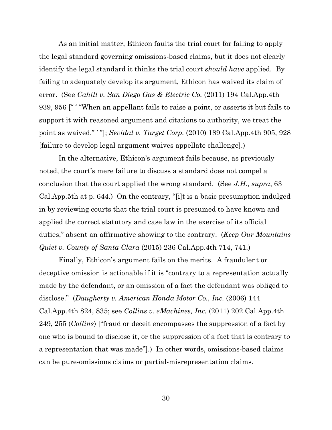As an initial matter, Ethicon faults the trial court for failing to apply the legal standard governing omissions-based claims, but it does not clearly identify the legal standard it thinks the trial court *should have* applied. By failing to adequately develop its argument, Ethicon has waived its claim of error. (See *Cahill v. San Diego Gas & Electric Co.* (2011) 194 Cal.App.4th 939, 956 [" ' "When an appellant fails to raise a point, or asserts it but fails to support it with reasoned argument and citations to authority, we treat the point as waived." ' "]; *Sevidal v. Target Corp.* (2010) 189 Cal.App.4th 905, 928 [failure to develop legal argument waives appellate challenge].)

In the alternative, Ethicon's argument fails because, as previously noted, the court's mere failure to discuss a standard does not compel a conclusion that the court applied the wrong standard. (See *J.H., supra*, 63 Cal.App.5th at p. 644.) On the contrary, "[i]t is a basic presumption indulged in by reviewing courts that the trial court is presumed to have known and applied the correct statutory and case law in the exercise of its official duties," absent an affirmative showing to the contrary. (*Keep Our Mountains Quiet v. County of Santa Clara* (2015) 236 Cal.App.4th 714, 741.)

Finally, Ethicon's argument fails on the merits. A fraudulent or deceptive omission is actionable if it is "contrary to a representation actually made by the defendant, or an omission of a fact the defendant was obliged to disclose." (*Daugherty v. American Honda Motor Co., Inc.* (2006) 144 Cal.App.4th 824, 835; see *Collins v. eMachines, Inc.* (2011) 202 Cal.App.4th 249, 255 (*Collins*) ["fraud or deceit encompasses the suppression of a fact by one who is bound to disclose it, or the suppression of a fact that is contrary to a representation that was made"].) In other words, omissions-based claims can be pure-omissions claims or partial-misrepresentation claims.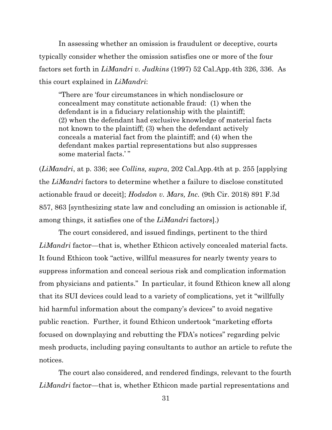In assessing whether an omission is fraudulent or deceptive, courts typically consider whether the omission satisfies one or more of the four factors set forth in *LiMandri v. Judkins* (1997) 52 Cal.App.4th 326, 336. As this court explained in *LiMandri*:

"There are 'four circumstances in which nondisclosure or concealment may constitute actionable fraud: (1) when the defendant is in a fiduciary relationship with the plaintiff; (2) when the defendant had exclusive knowledge of material facts not known to the plaintiff; (3) when the defendant actively conceals a material fact from the plaintiff; and (4) when the defendant makes partial representations but also suppresses some material facts.' "

(*LiMandri*, at p. 336; see *Collins, supra*, 202 Cal.App.4th at p. 255 [applying the *LiMandri* factors to determine whether a failure to disclose constituted actionable fraud or deceit]; *Hodsdon v. Mars, Inc.* (9th Cir. 2018) 891 F.3d 857, 863 [synthesizing state law and concluding an omission is actionable if, among things, it satisfies one of the *LiMandri* factors].)

The court considered, and issued findings, pertinent to the third *LiMandri* factor—that is, whether Ethicon actively concealed material facts. It found Ethicon took "active, willful measures for nearly twenty years to suppress information and conceal serious risk and complication information from physicians and patients." In particular, it found Ethicon knew all along that its SUI devices could lead to a variety of complications, yet it "willfully hid harmful information about the company's devices" to avoid negative public reaction. Further, it found Ethicon undertook "marketing efforts focused on downplaying and rebutting the FDA's notices" regarding pelvic mesh products, including paying consultants to author an article to refute the notices.

The court also considered, and rendered findings, relevant to the fourth *LiMandri* factor—that is, whether Ethicon made partial representations and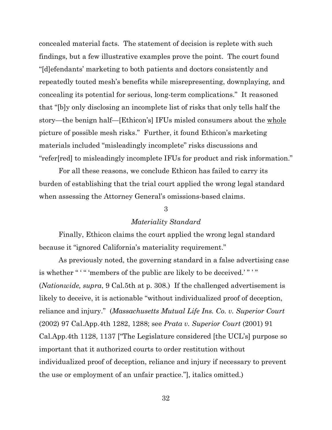concealed material facts. The statement of decision is replete with such findings, but a few illustrative examples prove the point. The court found "[d]efendants' marketing to both patients and doctors consistently and repeatedly touted mesh's benefits while misrepresenting, downplaying, and concealing its potential for serious, long-term complications." It reasoned that "[b]y only disclosing an incomplete list of risks that only tells half the story—the benign half—[Ethicon's] IFUs misled consumers about the whole picture of possible mesh risks." Further, it found Ethicon's marketing materials included "misleadingly incomplete" risks discussions and "refer[red] to misleadingly incomplete IFUs for product and risk information."

For all these reasons, we conclude Ethicon has failed to carry its burden of establishing that the trial court applied the wrong legal standard when assessing the Attorney General's omissions-based claims.

## 3

## *Materiality Standard*

Finally, Ethicon claims the court applied the wrong legal standard because it "ignored California's materiality requirement."

As previously noted, the governing standard in a false advertising case is whether " " " members of the public are likely to be deceived.'" " (*Nationwide, supra*, 9 Cal.5th at p. 308.) If the challenged advertisement is likely to deceive, it is actionable "without individualized proof of deception, reliance and injury." (*Massachusetts Mutual Life Ins. Co. v. Superior Court* (2002) 97 Cal.App.4th 1282, 1288; see *Prata v. Superior Court* (2001) 91 Cal.App.4th 1128, 1137 ["The Legislature considered [the UCL's] purpose so important that it authorized courts to order restitution without individualized proof of deception, reliance and injury if necessary to prevent the use or employment of an unfair practice."], italics omitted.)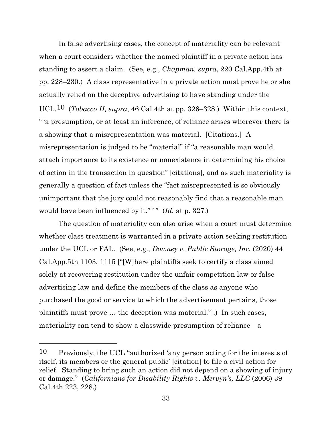In false advertising cases, the concept of materiality can be relevant when a court considers whether the named plaintiff in a private action has standing to assert a claim. (See, e.g., *Chapman, supra*, 220 Cal.App.4th at pp. 228–230.) A class representative in a private action must prove he or she actually relied on the deceptive advertising to have standing under the UCL.[10](#page-32-0) (*Tobacco II, supra*, 46 Cal.4th at pp. 326–328.) Within this context, " 'a presumption, or at least an inference, of reliance arises wherever there is a showing that a misrepresentation was material. [Citations.] A misrepresentation is judged to be "material" if "a reasonable man would attach importance to its existence or nonexistence in determining his choice of action in the transaction in question" [citations], and as such materiality is generally a question of fact unless the "fact misrepresented is so obviously unimportant that the jury could not reasonably find that a reasonable man would have been influenced by it."" (*Id.* at p. 327.)

The question of materiality can also arise when a court must determine whether class treatment is warranted in a private action seeking restitution under the UCL or FAL. (See, e.g., *Downey v. Public Storage, Inc.* (2020) 44 Cal.App.5th 1103, 1115 ["[W]here plaintiffs seek to certify a class aimed solely at recovering restitution under the unfair competition law or false advertising law and define the members of the class as anyone who purchased the good or service to which the advertisement pertains, those plaintiffs must prove … the deception was material."].) In such cases, materiality can tend to show a classwide presumption of reliance—a

<span id="page-32-0"></span><sup>10</sup> Previously, the UCL "authorized 'any person acting for the interests of itself, its members or the general public' [citation] to file a civil action for relief. Standing to bring such an action did not depend on a showing of injury or damage." (*Californians for Disability Rights v. Mervyn's, LLC* (2006) 39 Cal.4th 223, 228.)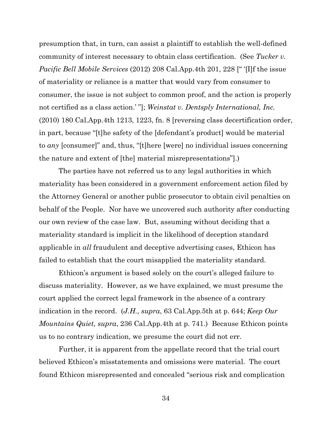presumption that, in turn, can assist a plaintiff to establish the well-defined community of interest necessary to obtain class certification. (See *Tucker v. Pacific Bell Mobile Services* (2012) 208 Cal.App.4th 201, 228 [" '[I]f the issue of materiality or reliance is a matter that would vary from consumer to consumer, the issue is not subject to common proof, and the action is properly not certified as a class action.' "]; *Weinstat v. Dentsply International, Inc.*  (2010) 180 Cal.App.4th 1213, 1223, fn. 8 [reversing class decertification order, in part, because "[t]he safety of the [defendant's product] would be material to *any* [consumer]" and, thus, "[t]here [were] no individual issues concerning the nature and extent of [the] material misrepresentations"].)

The parties have not referred us to any legal authorities in which materiality has been considered in a government enforcement action filed by the Attorney General or another public prosecutor to obtain civil penalties on behalf of the People. Nor have we uncovered such authority after conducting our own review of the case law. But, assuming without deciding that a materiality standard is implicit in the likelihood of deception standard applicable in *all* fraudulent and deceptive advertising cases, Ethicon has failed to establish that the court misapplied the materiality standard.

Ethicon's argument is based solely on the court's alleged failure to discuss materiality. However, as we have explained, we must presume the court applied the correct legal framework in the absence of a contrary indication in the record. (*J.H., supra*, 63 Cal.App.5th at p. 644; *Keep Our Mountains Quiet, supra*, 236 Cal.App.4th at p. 741.) Because Ethicon points us to no contrary indication, we presume the court did not err.

Further, it is apparent from the appellate record that the trial court believed Ethicon's misstatements and omissions were material. The court found Ethicon misrepresented and concealed "serious risk and complication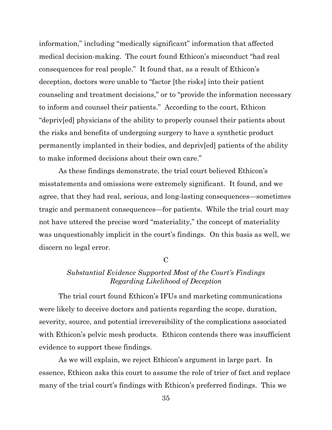information," including "medically significant" information that affected medical decision-making. The court found Ethicon's misconduct "had real consequences for real people." It found that, as a result of Ethicon's deception, doctors were unable to "factor [the risks] into their patient counseling and treatment decisions," or to "provide the information necessary to inform and counsel their patients." According to the court, Ethicon "depriv[ed] physicians of the ability to properly counsel their patients about the risks and benefits of undergoing surgery to have a synthetic product permanently implanted in their bodies, and depriv[ed] patients of the ability to make informed decisions about their own care."

As these findings demonstrate, the trial court believed Ethicon's misstatements and omissions were extremely significant. It found, and we agree, that they had real, serious, and long-lasting consequences—sometimes tragic and permanent consequences—for patients. While the trial court may not have uttered the precise word "materiality," the concept of materiality was unquestionably implicit in the court's findings. On this basis as well, we discern no legal error.

 $\mathcal{C}$ 

# *Substantial Evidence Supported Most of the Court's Findings Regarding Likelihood of Deception*

The trial court found Ethicon's IFUs and marketing communications were likely to deceive doctors and patients regarding the scope, duration, severity, source, and potential irreversibility of the complications associated with Ethicon's pelvic mesh products. Ethicon contends there was insufficient evidence to support these findings.

As we will explain, we reject Ethicon's argument in large part. In essence, Ethicon asks this court to assume the role of trier of fact and replace many of the trial court's findings with Ethicon's preferred findings. This we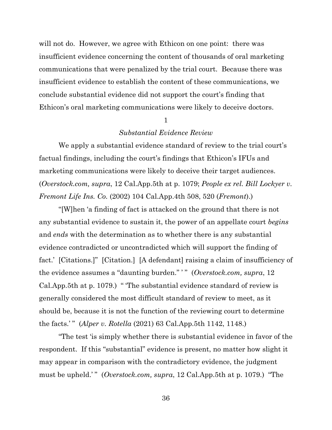will not do. However, we agree with Ethicon on one point: there was insufficient evidence concerning the content of thousands of oral marketing communications that were penalized by the trial court. Because there was insufficient evidence to establish the content of these communications, we conclude substantial evidence did not support the court's finding that Ethicon's oral marketing communications were likely to deceive doctors.

#### 1

## *Substantial Evidence Review*

We apply a substantial evidence standard of review to the trial court's factual findings, including the court's findings that Ethicon's IFUs and marketing communications were likely to deceive their target audiences. (*Overstock.com, supra*, 12 Cal.App.5th at p. 1079; *People ex rel. Bill Lockyer v. Fremont Life Ins. Co.* (2002) 104 Cal.App.4th 508, 520 (*Fremont*).)

"[W]hen 'a finding of fact is attacked on the ground that there is not any substantial evidence to sustain it, the power of an appellate court *begins* and *ends* with the determination as to whether there is any substantial evidence contradicted or uncontradicted which will support the finding of fact.' [Citations.]" [Citation.] [A defendant] raising a claim of insufficiency of the evidence assumes a "daunting burden." ' " (*Overstock.com, supra*, 12 Cal.App.5th at p. 1079.) " 'The substantial evidence standard of review is generally considered the most difficult standard of review to meet, as it should be, because it is not the function of the reviewing court to determine the facts.' " (*Alper v. Rotella* (2021) 63 Cal.App.5th 1142, 1148.)

"The test 'is simply whether there is substantial evidence in favor of the respondent. If this "substantial" evidence is present, no matter how slight it may appear in comparison with the contradictory evidence, the judgment must be upheld.'" (*Overstock.com, supra,* 12 Cal.App.5th at p. 1079.) "The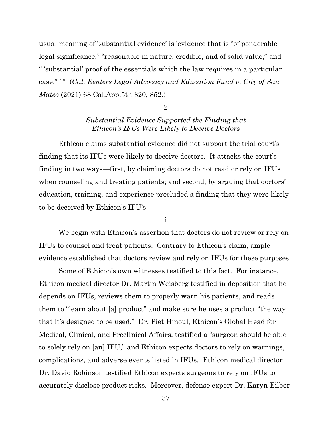usual meaning of 'substantial evidence' is 'evidence that is "of ponderable legal significance," "reasonable in nature, credible, and of solid value," and " 'substantial' proof of the essentials which the law requires in a particular case." ' " (*Cal. Renters Legal Advocacy and Education Fund v. City of San Mateo* (2021) 68 Cal.App.5th 820, 852.)

#### 2

# *Substantial Evidence Supported the Finding that Ethicon's IFUs Were Likely to Deceive Doctors*

Ethicon claims substantial evidence did not support the trial court's finding that its IFUs were likely to deceive doctors. It attacks the court's finding in two ways—first, by claiming doctors do not read or rely on IFUs when counseling and treating patients; and second, by arguing that doctors' education, training, and experience precluded a finding that they were likely to be deceived by Ethicon's IFU's.

i

We begin with Ethicon's assertion that doctors do not review or rely on IFUs to counsel and treat patients. Contrary to Ethicon's claim, ample evidence established that doctors review and rely on IFUs for these purposes.

Some of Ethicon's own witnesses testified to this fact. For instance, Ethicon medical director Dr. Martin Weisberg testified in deposition that he depends on IFUs, reviews them to properly warn his patients, and reads them to "learn about [a] product" and make sure he uses a product "the way that it's designed to be used." Dr. Piet Hinoul, Ethicon's Global Head for Medical, Clinical, and Preclinical Affairs, testified a "surgeon should be able to solely rely on [an] IFU," and Ethicon expects doctors to rely on warnings, complications, and adverse events listed in IFUs. Ethicon medical director Dr. David Robinson testified Ethicon expects surgeons to rely on IFUs to accurately disclose product risks. Moreover, defense expert Dr. Karyn Eilber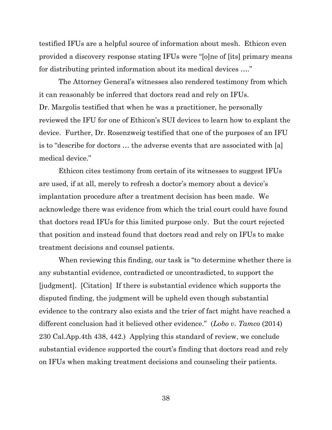testified IFUs are a helpful source of information about mesh. Ethicon even provided a discovery response stating IFUs were "[o]ne of [its] primary means for distributing printed information about its medical devices …."

The Attorney General's witnesses also rendered testimony from which it can reasonably be inferred that doctors read and rely on IFUs. Dr. Margolis testified that when he was a practitioner, he personally reviewed the IFU for one of Ethicon's SUI devices to learn how to explant the device. Further, Dr. Rosenzweig testified that one of the purposes of an IFU is to "describe for doctors … the adverse events that are associated with [a] medical device."

Ethicon cites testimony from certain of its witnesses to suggest IFUs are used, if at all, merely to refresh a doctor's memory about a device's implantation procedure after a treatment decision has been made. We acknowledge there was evidence from which the trial court could have found that doctors read IFUs for this limited purpose only. But the court rejected that position and instead found that doctors read and rely on IFUs to make treatment decisions and counsel patients.

When reviewing this finding, our task is "to determine whether there is any substantial evidence, contradicted or uncontradicted, to support the [judgment]. [Citation] If there is substantial evidence which supports the disputed finding, the judgment will be upheld even though substantial evidence to the contrary also exists and the trier of fact might have reached a different conclusion had it believed other evidence." (*Lobo v. Tamco* (2014) 230 Cal.App.4th 438, 442.) Applying this standard of review, we conclude substantial evidence supported the court's finding that doctors read and rely on IFUs when making treatment decisions and counseling their patients.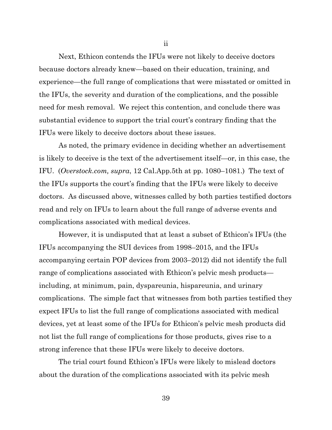Next, Ethicon contends the IFUs were not likely to deceive doctors because doctors already knew—based on their education, training, and experience—the full range of complications that were misstated or omitted in the IFUs, the severity and duration of the complications, and the possible need for mesh removal. We reject this contention, and conclude there was substantial evidence to support the trial court's contrary finding that the IFUs were likely to deceive doctors about these issues.

As noted, the primary evidence in deciding whether an advertisement is likely to deceive is the text of the advertisement itself—or, in this case, the IFU. (*Overstock.com, supra*, 12 Cal.App.5th at pp. 1080–1081.) The text of the IFUs supports the court's finding that the IFUs were likely to deceive doctors. As discussed above, witnesses called by both parties testified doctors read and rely on IFUs to learn about the full range of adverse events and complications associated with medical devices.

However, it is undisputed that at least a subset of Ethicon's IFUs (the IFUs accompanying the SUI devices from 1998–2015, and the IFUs accompanying certain POP devices from 2003–2012) did not identify the full range of complications associated with Ethicon's pelvic mesh products including, at minimum, pain, dyspareunia, hispareunia, and urinary complications. The simple fact that witnesses from both parties testified they expect IFUs to list the full range of complications associated with medical devices, yet at least some of the IFUs for Ethicon's pelvic mesh products did not list the full range of complications for those products, gives rise to a strong inference that these IFUs were likely to deceive doctors.

The trial court found Ethicon's IFUs were likely to mislead doctors about the duration of the complications associated with its pelvic mesh

ii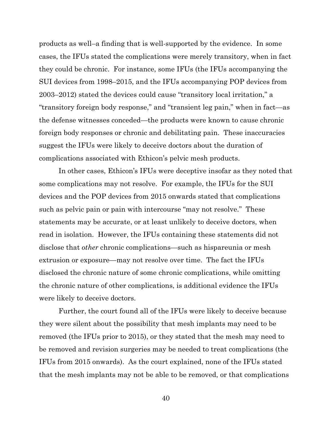products as well–a finding that is well-supported by the evidence. In some cases, the IFUs stated the complications were merely transitory, when in fact they could be chronic. For instance, some IFUs (the IFUs accompanying the SUI devices from 1998–2015, and the IFUs accompanying POP devices from 2003–2012) stated the devices could cause "transitory local irritation," a "transitory foreign body response," and "transient leg pain," when in fact—as the defense witnesses conceded—the products were known to cause chronic foreign body responses or chronic and debilitating pain. These inaccuracies suggest the IFUs were likely to deceive doctors about the duration of complications associated with Ethicon's pelvic mesh products.

In other cases, Ethicon's IFUs were deceptive insofar as they noted that some complications may not resolve. For example, the IFUs for the SUI devices and the POP devices from 2015 onwards stated that complications such as pelvic pain or pain with intercourse "may not resolve." These statements may be accurate, or at least unlikely to deceive doctors, when read in isolation. However, the IFUs containing these statements did not disclose that *other* chronic complications—such as hispareunia or mesh extrusion or exposure—may not resolve over time. The fact the IFUs disclosed the chronic nature of some chronic complications, while omitting the chronic nature of other complications, is additional evidence the IFUs were likely to deceive doctors.

Further, the court found all of the IFUs were likely to deceive because they were silent about the possibility that mesh implants may need to be removed (the IFUs prior to 2015), or they stated that the mesh may need to be removed and revision surgeries may be needed to treat complications (the IFUs from 2015 onwards). As the court explained, none of the IFUs stated that the mesh implants may not be able to be removed, or that complications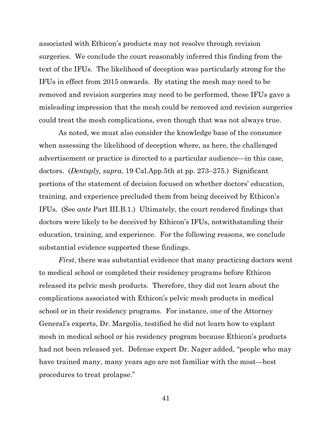associated with Ethicon's products may not resolve through revision surgeries. We conclude the court reasonably inferred this finding from the text of the IFUs. The likelihood of deception was particularly strong for the IFUs in effect from 2015 onwards. By stating the mesh may need to be removed and revision surgeries may need to be performed, these IFUs gave a misleading impression that the mesh could be removed and revision surgeries could treat the mesh complications, even though that was not always true.

As noted, we must also consider the knowledge base of the consumer when assessing the likelihood of deception where, as here, the challenged advertisement or practice is directed to a particular audience—in this case, doctors. (*Dentsply, supra*, 19 Cal.App.5th at pp. 273–275.) Significant portions of the statement of decision focused on whether doctors' education, training, and experience precluded them from being deceived by Ethicon's IFUs. (See *ante* Part III.B.1.) Ultimately, the court rendered findings that doctors were likely to be deceived by Ethicon's IFUs, notwithstanding their education, training, and experience. For the following reasons, we conclude substantial evidence supported these findings.

*First*, there was substantial evidence that many practicing doctors went to medical school or completed their residency programs before Ethicon released its pelvic mesh products. Therefore, they did not learn about the complications associated with Ethicon's pelvic mesh products in medical school or in their residency programs. For instance, one of the Attorney General's experts, Dr. Margolis, testified he did not learn how to explant mesh in medical school or his residency program because Ethicon's products had not been released yet. Defense expert Dr. Nager added, "people who may have trained many, many years ago are not familiar with the most—best procedures to treat prolapse."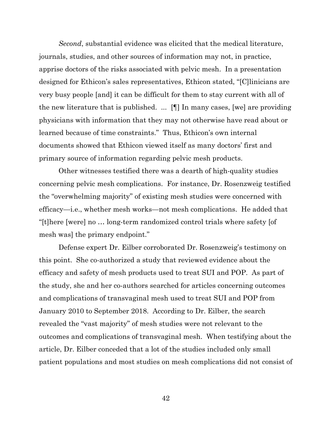*Second*, substantial evidence was elicited that the medical literature, journals, studies, and other sources of information may not, in practice, apprise doctors of the risks associated with pelvic mesh. In a presentation designed for Ethicon's sales representatives, Ethicon stated, "[C]linicians are very busy people [and] it can be difficult for them to stay current with all of the new literature that is published. ... [¶] In many cases, [we] are providing physicians with information that they may not otherwise have read about or learned because of time constraints." Thus, Ethicon's own internal documents showed that Ethicon viewed itself as many doctors' first and primary source of information regarding pelvic mesh products.

Other witnesses testified there was a dearth of high-quality studies concerning pelvic mesh complications. For instance, Dr. Rosenzweig testified the "overwhelming majority" of existing mesh studies were concerned with efficacy—i.e., whether mesh works—not mesh complications. He added that "[t]here [were] no … long-term randomized control trials where safety [of mesh was] the primary endpoint."

Defense expert Dr. Eilber corroborated Dr. Rosenzweig's testimony on this point. She co-authorized a study that reviewed evidence about the efficacy and safety of mesh products used to treat SUI and POP. As part of the study, she and her co-authors searched for articles concerning outcomes and complications of transvaginal mesh used to treat SUI and POP from January 2010 to September 2018. According to Dr. Eilber, the search revealed the "vast majority" of mesh studies were not relevant to the outcomes and complications of transvaginal mesh. When testifying about the article, Dr. Eilber conceded that a lot of the studies included only small patient populations and most studies on mesh complications did not consist of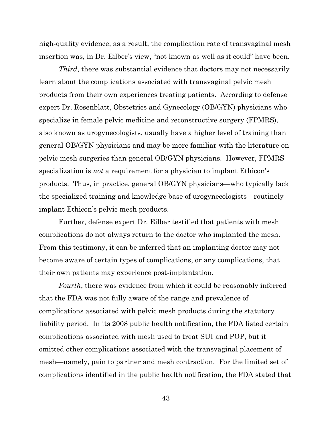high-quality evidence; as a result, the complication rate of transvaginal mesh insertion was, in Dr. Eilber's view, "not known as well as it could" have been.

*Third*, there was substantial evidence that doctors may not necessarily learn about the complications associated with transvaginal pelvic mesh products from their own experiences treating patients. According to defense expert Dr. Rosenblatt, Obstetrics and Gynecology (OB/GYN) physicians who specialize in female pelvic medicine and reconstructive surgery (FPMRS), also known as urogynecologists, usually have a higher level of training than general OB/GYN physicians and may be more familiar with the literature on pelvic mesh surgeries than general OB/GYN physicians. However, FPMRS specialization is *not* a requirement for a physician to implant Ethicon's products. Thus, in practice, general OB/GYN physicians—who typically lack the specialized training and knowledge base of urogynecologists—routinely implant Ethicon's pelvic mesh products.

Further, defense expert Dr. Eilber testified that patients with mesh complications do not always return to the doctor who implanted the mesh. From this testimony, it can be inferred that an implanting doctor may not become aware of certain types of complications, or any complications, that their own patients may experience post-implantation.

*Fourth*, there was evidence from which it could be reasonably inferred that the FDA was not fully aware of the range and prevalence of complications associated with pelvic mesh products during the statutory liability period. In its 2008 public health notification, the FDA listed certain complications associated with mesh used to treat SUI and POP, but it omitted other complications associated with the transvaginal placement of mesh—namely, pain to partner and mesh contraction. For the limited set of complications identified in the public health notification, the FDA stated that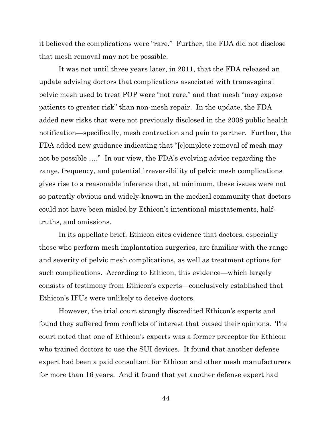it believed the complications were "rare." Further, the FDA did not disclose that mesh removal may not be possible.

It was not until three years later, in 2011, that the FDA released an update advising doctors that complications associated with transvaginal pelvic mesh used to treat POP were "not rare," and that mesh "may expose patients to greater risk" than non-mesh repair. In the update, the FDA added new risks that were not previously disclosed in the 2008 public health notification—specifically, mesh contraction and pain to partner. Further, the FDA added new guidance indicating that "[c]omplete removal of mesh may not be possible …." In our view, the FDA's evolving advice regarding the range, frequency, and potential irreversibility of pelvic mesh complications gives rise to a reasonable inference that, at minimum, these issues were not so patently obvious and widely-known in the medical community that doctors could not have been misled by Ethicon's intentional misstatements, halftruths, and omissions.

In its appellate brief, Ethicon cites evidence that doctors, especially those who perform mesh implantation surgeries, are familiar with the range and severity of pelvic mesh complications, as well as treatment options for such complications. According to Ethicon, this evidence—which largely consists of testimony from Ethicon's experts—conclusively established that Ethicon's IFUs were unlikely to deceive doctors.

However, the trial court strongly discredited Ethicon's experts and found they suffered from conflicts of interest that biased their opinions. The court noted that one of Ethicon's experts was a former preceptor for Ethicon who trained doctors to use the SUI devices. It found that another defense expert had been a paid consultant for Ethicon and other mesh manufacturers for more than 16 years. And it found that yet another defense expert had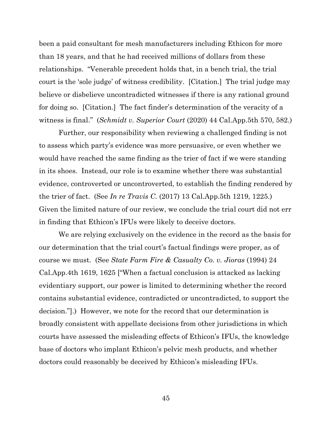been a paid consultant for mesh manufacturers including Ethicon for more than 18 years, and that he had received millions of dollars from these relationships. "Venerable precedent holds that, in a bench trial, the trial court is the 'sole judge' of witness credibility. [Citation.] The trial judge may believe or disbelieve uncontradicted witnesses if there is any rational ground for doing so. [Citation.] The fact finder's determination of the veracity of a witness is final." (*Schmidt v. Superior Court* (2020) 44 Cal.App.5th 570, 582.)

Further, our responsibility when reviewing a challenged finding is not to assess which party's evidence was more persuasive, or even whether we would have reached the same finding as the trier of fact if we were standing in its shoes. Instead, our role is to examine whether there was substantial evidence, controverted or uncontroverted, to establish the finding rendered by the trier of fact. (See *In re Travis C.* (2017) 13 Cal.App.5th 1219, 1225.) Given the limited nature of our review, we conclude the trial court did not err in finding that Ethicon's IFUs were likely to deceive doctors.

We are relying exclusively on the evidence in the record as the basis for our determination that the trial court's factual findings were proper, as of course we must. (See *State Farm Fire & Casualty Co. v. Jioras* (1994) 24 Cal.App.4th 1619, 1625 ["When a factual conclusion is attacked as lacking evidentiary support, our power is limited to determining whether the record contains substantial evidence, contradicted or uncontradicted, to support the decision."].) However, we note for the record that our determination is broadly consistent with appellate decisions from other jurisdictions in which courts have assessed the misleading effects of Ethicon's IFUs, the knowledge base of doctors who implant Ethicon's pelvic mesh products, and whether doctors could reasonably be deceived by Ethicon's misleading IFUs.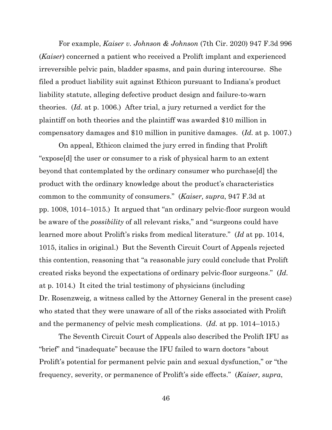For example, *Kaiser v. Johnson & Johnson* (7th Cir. 2020) 947 F.3d 996 (*Kaiser*) concerned a patient who received a Prolift implant and experienced irreversible pelvic pain, bladder spasms, and pain during intercourse. She filed a product liability suit against Ethicon pursuant to Indiana's product liability statute, alleging defective product design and failure-to-warn theories. (*Id.* at p. 1006.) After trial, a jury returned a verdict for the plaintiff on both theories and the plaintiff was awarded \$10 million in compensatory damages and \$10 million in punitive damages. (*Id.* at p. 1007.)

On appeal, Ethicon claimed the jury erred in finding that Prolift "expose[d] the user or consumer to a risk of physical harm to an extent beyond that contemplated by the ordinary consumer who purchase[d] the product with the ordinary knowledge about the product's characteristics common to the community of consumers." (*Kaiser, supra*, 947 F.3d at pp. 1008, 1014–1015.) It argued that "an ordinary pelvic-floor surgeon would be aware of the *possibility* of all relevant risks," and "surgeons could have learned more about Prolift's risks from medical literature." (*Id* at pp. 1014, 1015, italics in original.) But the Seventh Circuit Court of Appeals rejected this contention, reasoning that "a reasonable jury could conclude that Prolift created risks beyond the expectations of ordinary pelvic-floor surgeons." (*Id.* at p. 1014.) It cited the trial testimony of physicians (including Dr. Rosenzweig, a witness called by the Attorney General in the present case) who stated that they were unaware of all of the risks associated with Prolift and the permanency of pelvic mesh complications. (*Id.* at pp. 1014–1015.)

The Seventh Circuit Court of Appeals also described the Prolift IFU as "brief" and "inadequate" because the IFU failed to warn doctors "about Prolift's potential for permanent pelvic pain and sexual dysfunction," or "the frequency, severity, or permanence of Prolift's side effects." (*Kaiser, supra*,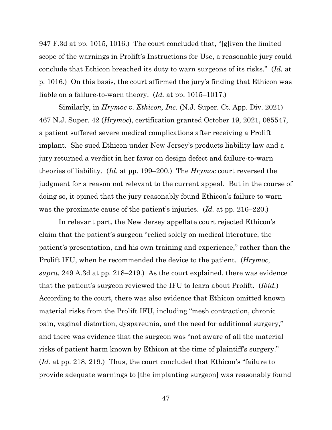947 F.3d at pp. 1015, 1016.) The court concluded that, "[g]iven the limited scope of the warnings in Prolift's Instructions for Use, a reasonable jury could conclude that Ethicon breached its duty to warn surgeons of its risks." (*Id.* at p. 1016.) On this basis, the court affirmed the jury's finding that Ethicon was liable on a failure-to-warn theory. (*Id.* at pp. 1015–1017.)

Similarly, in *Hrymoc v. Ethicon, Inc.* (N.J. Super. Ct. App. Div. 2021) 467 N.J. Super. 42 (*Hrymoc*), certification granted October 19, 2021, 085547, a patient suffered severe medical complications after receiving a Prolift implant. She sued Ethicon under New Jersey's products liability law and a jury returned a verdict in her favor on design defect and failure-to-warn theories of liability. (*Id.* at pp. 199–200.) The *Hrymoc* court reversed the judgment for a reason not relevant to the current appeal. But in the course of doing so, it opined that the jury reasonably found Ethicon's failure to warn was the proximate cause of the patient's injuries. (*Id.* at pp. 216–220.)

In relevant part, the New Jersey appellate court rejected Ethicon's claim that the patient's surgeon "relied solely on medical literature, the patient's presentation, and his own training and experience," rather than the Prolift IFU, when he recommended the device to the patient. (*Hrymoc, supra*, 249 A.3d at pp. 218–219.) As the court explained, there was evidence that the patient's surgeon reviewed the IFU to learn about Prolift. (*Ibid.*) According to the court, there was also evidence that Ethicon omitted known material risks from the Prolift IFU, including "mesh contraction, chronic pain, vaginal distortion, dyspareunia, and the need for additional surgery," and there was evidence that the surgeon was "not aware of all the material risks of patient harm known by Ethicon at the time of plaintiff's surgery." (*Id.* at pp. 218, 219.) Thus, the court concluded that Ethicon's "failure to provide adequate warnings to [the implanting surgeon] was reasonably found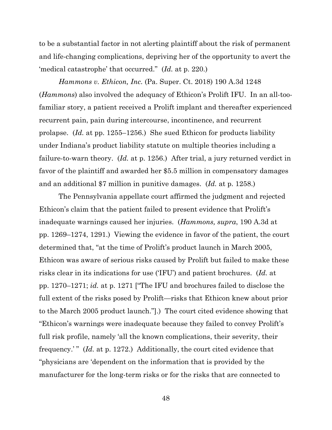to be a substantial factor in not alerting plaintiff about the risk of permanent and life-changing complications, depriving her of the opportunity to avert the 'medical catastrophe' that occurred." (*Id.* at p. 220.)

*Hammons v. Ethicon, Inc.* (Pa. Super. Ct. 2018) 190 A.3d 1248 (*Hammons*) also involved the adequacy of Ethicon's Prolift IFU. In an all-toofamiliar story, a patient received a Prolift implant and thereafter experienced recurrent pain, pain during intercourse, incontinence, and recurrent prolapse. (*Id.* at pp. 1255–1256.) She sued Ethicon for products liability under Indiana's product liability statute on multiple theories including a failure-to-warn theory. (*Id.* at p. 1256.) After trial, a jury returned verdict in favor of the plaintiff and awarded her \$5.5 million in compensatory damages and an additional \$7 million in punitive damages. (*Id.* at p. 1258.)

The Pennsylvania appellate court affirmed the judgment and rejected Ethicon's claim that the patient failed to present evidence that Prolift's inadequate warnings caused her injuries. (*Hammons, supra*, 190 A.3d at pp. 1269–1274, 1291.) Viewing the evidence in favor of the patient, the court determined that, "at the time of Prolift's product launch in March 2005, Ethicon was aware of serious risks caused by Prolift but failed to make these risks clear in its indications for use ('IFU') and patient brochures. (*Id.* at pp. 1270–1271; *id.* at p. 1271 ["The IFU and brochures failed to disclose the full extent of the risks posed by Prolift—risks that Ethicon knew about prior to the March 2005 product launch."].) The court cited evidence showing that "Ethicon's warnings were inadequate because they failed to convey Prolift's full risk profile, namely 'all the known complications, their severity, their frequency.' " (*Id.* at p. 1272.) Additionally, the court cited evidence that "physicians are 'dependent on the information that is provided by the manufacturer for the long-term risks or for the risks that are connected to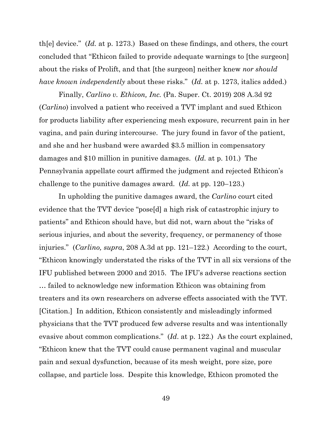th[e] device." (*Id.* at p. 1273.) Based on these findings, and others, the court concluded that "Ethicon failed to provide adequate warnings to [the surgeon] about the risks of Prolift, and that [the surgeon] neither knew *nor should have known independently* about these risks." (*Id.* at p. 1273, italics added.)

Finally, *Carlino v. Ethicon, Inc.* (Pa. Super. Ct. 2019) 208 A.3d 92 (*Carlino*) involved a patient who received a TVT implant and sued Ethicon for products liability after experiencing mesh exposure, recurrent pain in her vagina, and pain during intercourse. The jury found in favor of the patient, and she and her husband were awarded \$3.5 million in compensatory damages and \$10 million in punitive damages. (*Id.* at p. 101.) The Pennsylvania appellate court affirmed the judgment and rejected Ethicon's challenge to the punitive damages award. (*Id.* at pp. 120–123.)

In upholding the punitive damages award, the *Carlino* court cited evidence that the TVT device "pose[d] a high risk of catastrophic injury to patients" and Ethicon should have, but did not, warn about the "risks of serious injuries, and about the severity, frequency, or permanency of those injuries." (*Carlino, supra*, 208 A.3d at pp. 121–122.) According to the court, "Ethicon knowingly understated the risks of the TVT in all six versions of the IFU published between 2000 and 2015. The IFU's adverse reactions section … failed to acknowledge new information Ethicon was obtaining from treaters and its own researchers on adverse effects associated with the TVT. [Citation.] In addition, Ethicon consistently and misleadingly informed physicians that the TVT produced few adverse results and was intentionally evasive about common complications." (*Id*. at p. 122.) As the court explained, "Ethicon knew that the TVT could cause permanent vaginal and muscular pain and sexual dysfunction, because of its mesh weight, pore size, pore collapse, and particle loss. Despite this knowledge, Ethicon promoted the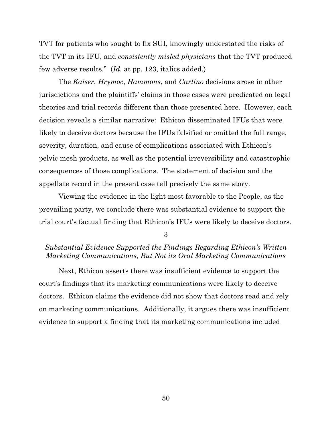TVT for patients who sought to fix SUI, knowingly understated the risks of the TVT in its IFU, and *consistently misled physicians* that the TVT produced few adverse results." (*Id.* at pp. 123, italics added.)

The *Kaiser*, *Hrymoc*, *Hammons*, and *Carlino* decisions arose in other jurisdictions and the plaintiffs' claims in those cases were predicated on legal theories and trial records different than those presented here. However, each decision reveals a similar narrative: Ethicon disseminated IFUs that were likely to deceive doctors because the IFUs falsified or omitted the full range, severity, duration, and cause of complications associated with Ethicon's pelvic mesh products, as well as the potential irreversibility and catastrophic consequences of those complications. The statement of decision and the appellate record in the present case tell precisely the same story.

Viewing the evidence in the light most favorable to the People, as the prevailing party, we conclude there was substantial evidence to support the trial court's factual finding that Ethicon's IFUs were likely to deceive doctors.

3

## *Substantial Evidence Supported the Findings Regarding Ethicon's Written Marketing Communications, But Not its Oral Marketing Communications*

Next, Ethicon asserts there was insufficient evidence to support the court's findings that its marketing communications were likely to deceive doctors. Ethicon claims the evidence did not show that doctors read and rely on marketing communications. Additionally, it argues there was insufficient evidence to support a finding that its marketing communications included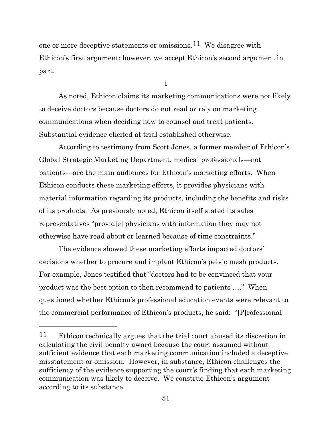one or more deceptive statements or omissions.<sup>11</sup> We disagree with Ethicon's first argument; however, we accept Ethicon's second argument in part.

i

As noted, Ethicon claims its marketing communications were not likely to deceive doctors because doctors do not read or rely on marketing communications when deciding how to counsel and treat patients. Substantial evidence elicited at trial established otherwise.

According to testimony from Scott Jones, a former member of Ethicon's Global Strategic Marketing Department, medical professionals—not patients—are the main audiences for Ethicon's marketing efforts. When Ethicon conducts these marketing efforts, it provides physicians with material information regarding its products, including the benefits and risks of its products. As previously noted, Ethicon itself stated its sales representatives "provid[e] physicians with information they may not otherwise have read about or learned because of time constraints."

The evidence showed these marketing efforts impacted doctors' decisions whether to procure and implant Ethicon's pelvic mesh products. For example, Jones testified that "doctors had to be convinced that your product was the best option to then recommend to patients …." When questioned whether Ethicon's professional education events were relevant to the commercial performance of Ethicon's products, he said: "[P]rofessional

<span id="page-50-0"></span><sup>11</sup> Ethicon technically argues that the trial court abused its discretion in calculating the civil penalty award because the court assumed without sufficient evidence that each marketing communication included a deceptive misstatement or omission. However, in substance, Ethicon challenges the sufficiency of the evidence supporting the court's finding that each marketing communication was likely to deceive. We construe Ethicon's argument according to its substance.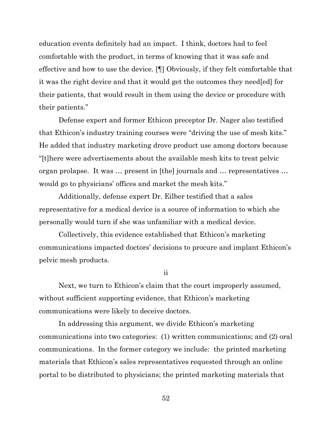education events definitely had an impact. I think, doctors had to feel comfortable with the product, in terms of knowing that it was safe and effective and how to use the device. [¶] Obviously, if they felt comfortable that it was the right device and that it would get the outcomes they need[ed] for their patients, that would result in them using the device or procedure with their patients."

Defense expert and former Ethicon preceptor Dr. Nager also testified that Ethicon's industry training courses were "driving the use of mesh kits." He added that industry marketing drove product use among doctors because "[t]here were advertisements about the available mesh kits to treat pelvic organ prolapse. It was … present in [the] journals and … representatives … would go to physicians' offices and market the mesh kits."

Additionally, defense expert Dr. Eilber testified that a sales representative for a medical device is a source of information to which she personally would turn if she was unfamiliar with a medical device.

Collectively, this evidence established that Ethicon's marketing communications impacted doctors' decisions to procure and implant Ethicon's pelvic mesh products.

ii

Next, we turn to Ethicon's claim that the court improperly assumed, without sufficient supporting evidence, that Ethicon's marketing communications were likely to deceive doctors.

In addressing this argument, we divide Ethicon's marketing communications into two categories: (1) written communications; and (2) oral communications. In the former category we include: the printed marketing materials that Ethicon's sales representatives requested through an online portal to be distributed to physicians; the printed marketing materials that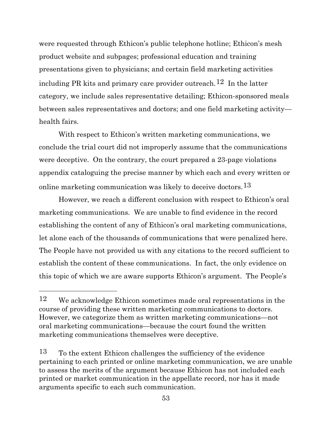were requested through Ethicon's public telephone hotline; Ethicon's mesh product website and subpages; professional education and training presentations given to physicians; and certain field marketing activities including PR kits and primary care provider outreach.<sup>[12](#page-52-0)</sup> In the latter category, we include sales representative detailing; Ethicon-sponsored meals between sales representatives and doctors; and one field marketing activity health fairs.

With respect to Ethicon's written marketing communications, we conclude the trial court did not improperly assume that the communications were deceptive. On the contrary, the court prepared a 23-page violations appendix cataloguing the precise manner by which each and every written or online marketing communication was likely to deceive doctors.<sup>[13](#page-52-1)</sup>

However, we reach a different conclusion with respect to Ethicon's oral marketing communications. We are unable to find evidence in the record establishing the content of any of Ethicon's oral marketing communications, let alone each of the thousands of communications that were penalized here. The People have not provided us with any citations to the record sufficient to establish the content of these communications. In fact, the only evidence on this topic of which we are aware supports Ethicon's argument. The People's

<span id="page-52-0"></span><sup>12</sup> We acknowledge Ethicon sometimes made oral representations in the course of providing these written marketing communications to doctors. However, we categorize them as written marketing communications—not oral marketing communications—because the court found the written marketing communications themselves were deceptive.

<span id="page-52-1"></span><sup>13</sup> To the extent Ethicon challenges the sufficiency of the evidence pertaining to each printed or online marketing communication, we are unable to assess the merits of the argument because Ethicon has not included each printed or market communication in the appellate record, nor has it made arguments specific to each such communication.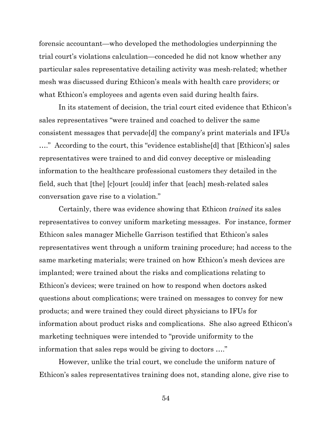forensic accountant—who developed the methodologies underpinning the trial court's violations calculation—conceded he did not know whether any particular sales representative detailing activity was mesh-related; whether mesh was discussed during Ethicon's meals with health care providers; or what Ethicon's employees and agents even said during health fairs.

In its statement of decision, the trial court cited evidence that Ethicon's sales representatives "were trained and coached to deliver the same consistent messages that pervade[d] the company's print materials and IFUs …." According to the court, this "evidence establishe[d] that [Ethicon's] sales representatives were trained to and did convey deceptive or misleading information to the healthcare professional customers they detailed in the field, such that [the] [c]ourt [could] infer that [each] mesh-related sales conversation gave rise to a violation."

Certainly, there was evidence showing that Ethicon *trained* its sales representatives to convey uniform marketing messages. For instance, former Ethicon sales manager Michelle Garrison testified that Ethicon's sales representatives went through a uniform training procedure; had access to the same marketing materials; were trained on how Ethicon's mesh devices are implanted; were trained about the risks and complications relating to Ethicon's devices; were trained on how to respond when doctors asked questions about complications; were trained on messages to convey for new products; and were trained they could direct physicians to IFUs for information about product risks and complications. She also agreed Ethicon's marketing techniques were intended to "provide uniformity to the information that sales reps would be giving to doctors …."

However, unlike the trial court, we conclude the uniform nature of Ethicon's sales representatives training does not, standing alone, give rise to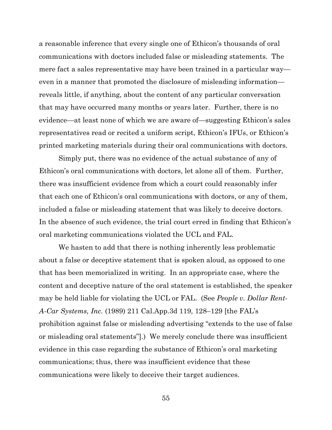a reasonable inference that every single one of Ethicon's thousands of oral communications with doctors included false or misleading statements. The mere fact a sales representative may have been trained in a particular way even in a manner that promoted the disclosure of misleading information reveals little, if anything, about the content of any particular conversation that may have occurred many months or years later. Further, there is no evidence—at least none of which we are aware of—suggesting Ethicon's sales representatives read or recited a uniform script, Ethicon's IFUs, or Ethicon's printed marketing materials during their oral communications with doctors.

Simply put, there was no evidence of the actual substance of any of Ethicon's oral communications with doctors, let alone all of them. Further, there was insufficient evidence from which a court could reasonably infer that each one of Ethicon's oral communications with doctors, or any of them, included a false or misleading statement that was likely to deceive doctors. In the absence of such evidence, the trial court erred in finding that Ethicon's oral marketing communications violated the UCL and FAL.

We hasten to add that there is nothing inherently less problematic about a false or deceptive statement that is spoken aloud, as opposed to one that has been memorialized in writing. In an appropriate case, where the content and deceptive nature of the oral statement is established, the speaker may be held liable for violating the UCL or FAL. (See *People v. Dollar Rent-A-Car Systems, Inc.* (1989) 211 Cal.App.3d 119, 128–129 [the FAL's prohibition against false or misleading advertising "extends to the use of false or misleading oral statements"].) We merely conclude there was insufficient evidence in this case regarding the substance of Ethicon's oral marketing communications; thus, there was insufficient evidence that these communications were likely to deceive their target audiences.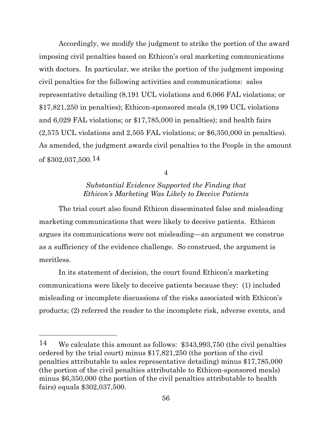Accordingly, we modify the judgment to strike the portion of the award imposing civil penalties based on Ethicon's oral marketing communications with doctors. In particular, we strike the portion of the judgment imposing civil penalties for the following activities and communications: sales representative detailing (8,191 UCL violations and 6,066 FAL violations; or \$17,821,250 in penalties); Ethicon-sponsored meals (8,199 UCL violations and 6,029 FAL violations; or \$17,785,000 in penalties); and health fairs (2,575 UCL violations and 2,505 FAL violations; or \$6,350,000 in penalties). As amended, the judgment awards civil penalties to the People in the amount of \$302,037,500.[14](#page-55-0)

4

# *Substantial Evidence Supported the Finding that Ethicon's Marketing Was Likely to Deceive Patients*

The trial court also found Ethicon disseminated false and misleading marketing communications that were likely to deceive patients. Ethicon argues its communications were not misleading—an argument we construe as a sufficiency of the evidence challenge. So construed, the argument is meritless.

In its statement of decision, the court found Ethicon's marketing communications were likely to deceive patients because they: (1) included misleading or incomplete discussions of the risks associated with Ethicon's products; (2) referred the reader to the incomplete risk, adverse events, and

<span id="page-55-0"></span><sup>14</sup> We calculate this amount as follows: \$343,993,750 (the civil penalties ordered by the trial court) minus \$17,821,250 (the portion of the civil penalties attributable to sales representative detailing) minus \$17,785,000 (the portion of the civil penalties attributable to Ethicon-sponsored meals) minus \$6,350,000 (the portion of the civil penalties attributable to health fairs) equals \$302,037,500.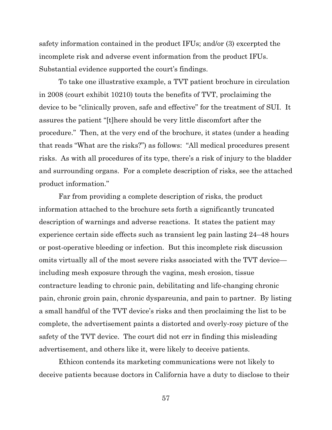safety information contained in the product IFUs; and/or (3) excerpted the incomplete risk and adverse event information from the product IFUs. Substantial evidence supported the court's findings.

To take one illustrative example, a TVT patient brochure in circulation in 2008 (court exhibit 10210) touts the benefits of TVT, proclaiming the device to be "clinically proven, safe and effective" for the treatment of SUI. It assures the patient "[t]here should be very little discomfort after the procedure." Then, at the very end of the brochure, it states (under a heading that reads "What are the risks?") as follows: "All medical procedures present risks. As with all procedures of its type, there's a risk of injury to the bladder and surrounding organs. For a complete description of risks, see the attached product information."

Far from providing a complete description of risks, the product information attached to the brochure sets forth a significantly truncated description of warnings and adverse reactions. It states the patient may experience certain side effects such as transient leg pain lasting 24–48 hours or post-operative bleeding or infection. But this incomplete risk discussion omits virtually all of the most severe risks associated with the TVT device including mesh exposure through the vagina, mesh erosion, tissue contracture leading to chronic pain, debilitating and life-changing chronic pain, chronic groin pain, chronic dyspareunia, and pain to partner. By listing a small handful of the TVT device's risks and then proclaiming the list to be complete, the advertisement paints a distorted and overly-rosy picture of the safety of the TVT device. The court did not err in finding this misleading advertisement, and others like it, were likely to deceive patients.

Ethicon contends its marketing communications were not likely to deceive patients because doctors in California have a duty to disclose to their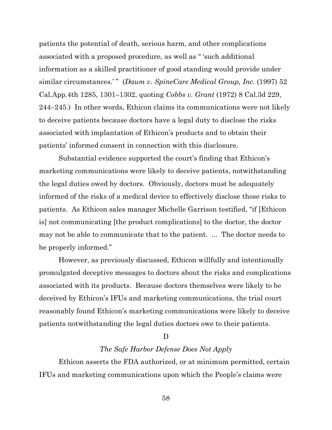patients the potential of death, serious harm, and other complications associated with a proposed procedure, as well as " 'such additional information as a skilled practitioner of good standing would provide under similar circumstances.'" (*Daum v. SpineCare Medical Group, Inc.* (1997) 52 Cal.App.4th 1285, 1301–1302, quoting *Cobbs v. Grant* (1972) 8 Cal.3d 229, 244–245.) In other words, Ethicon claims its communications were not likely to deceive patients because doctors have a legal duty to disclose the risks associated with implantation of Ethicon's products and to obtain their patients' informed consent in connection with this disclosure.

Substantial evidence supported the court's finding that Ethicon's marketing communications were likely to deceive patients, notwithstanding the legal duties owed by doctors. Obviously, doctors must be adequately informed of the risks of a medical device to effectively disclose those risks to patients. As Ethicon sales manager Michelle Garrison testified, "if [Ethicon is] not communicating [the product complications] to the doctor, the doctor may not be able to communicate that to the patient. ... The doctor needs to be properly informed."

However, as previously discussed, Ethicon willfully and intentionally promulgated deceptive messages to doctors about the risks and complications associated with its products. Because doctors themselves were likely to be deceived by Ethicon's IFUs and marketing communications, the trial court reasonably found Ethicon's marketing communications were likely to deceive patients notwithstanding the legal duties doctors owe to their patients.

#### D

### *The Safe Harbor Defense Does Not Apply*

Ethicon asserts the FDA authorized, or at minimum permitted, certain IFUs and marketing communications upon which the People's claims were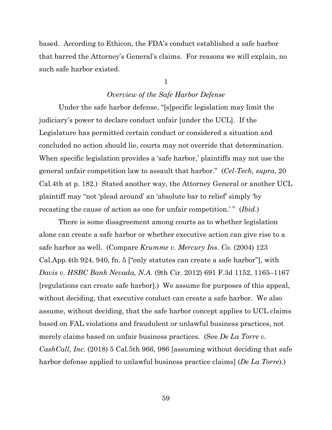based. According to Ethicon, the FDA's conduct established a safe harbor that barred the Attorney's General's claims. For reasons we will explain, no such safe harbor existed.

1

### *Overview of the Safe Harbor Defense*

Under the safe harbor defense, "[s]pecific legislation may limit the judiciary's power to declare conduct unfair [under the UCL]. If the Legislature has permitted certain conduct or considered a situation and concluded no action should lie, courts may not override that determination. When specific legislation provides a 'safe harbor,' plaintiffs may not use the general unfair competition law to assault that harbor." (*Cel-Tech, supra*, 20 Cal.4th at p. 182.) Stated another way, the Attorney General or another UCL plaintiff may "not 'plead around' an 'absolute bar to relief' simply 'by recasting the cause of action as one for unfair competition.'" (*Ibid.*)

There is some disagreement among courts as to whether legislation alone can create a safe harbor or whether executive action can give rise to a safe harbor as well. (Compare *Krumme v. Mercury Ins. Co.* (2004) 123 Cal.App.4th 924, 940, fn. 5 ["only statutes can create a safe harbor"], with *Davis v. HSBC Bank Nevada, N.A.* (9th Cir. 2012) 691 F.3d 1152, 1165–1167 [regulations can create safe harbor].) We assume for purposes of this appeal, without deciding, that executive conduct can create a safe harbor. We also assume, without deciding, that the safe harbor concept applies to UCL claims based on FAL violations and fraudulent or unlawful business practices, not merely claims based on unfair business practices. (See *De La Torre v. CashCall, Inc.* (2018) 5 Cal.5th 966, 986 [assuming without deciding that safe harbor defense applied to unlawful business practice claims] (*De La Torre*).)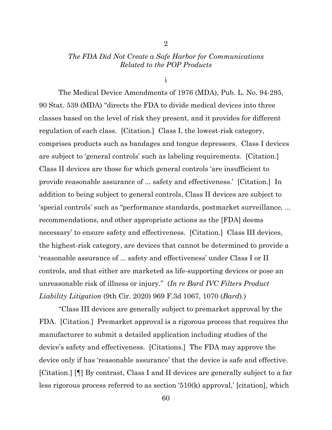### *The FDA Did Not Create a Safe Harbor for Communications Related to the POP Products*

2

i

The Medical Device Amendments of 1976 (MDA), Pub. L. No. 94-295, 90 Stat. 539 (MDA) "directs the FDA to divide medical devices into three classes based on the level of risk they present, and it provides for different regulation of each class. [Citation.] Class I, the lowest-risk category, comprises products such as bandages and tongue depressors. Class I devices are subject to 'general controls' such as labeling requirements. [Citation.] Class II devices are those for which general controls 'are insufficient to provide reasonable assurance of ... safety and effectiveness.' [Citation.] In addition to being subject to general controls, Class II devices are subject to 'special controls' such as "performance standards, postmarket surveillance, ... recommendations, and other appropriate actions as the [FDA] deems necessary' to ensure safety and effectiveness. [Citation.] Class III devices, the highest-risk category, are devices that cannot be determined to provide a 'reasonable assurance of ... safety and effectiveness' under Class I or II controls, and that either are marketed as life-supporting devices or pose an unreasonable risk of illness or injury." (*In re Bard IVC Filters Product Liability Litigation* (9th Cir. 2020) 969 F.3d 1067, 1070 (*Bard*).)

"Class III devices are generally subject to premarket approval by the FDA. [Citation.] Premarket approval is a rigorous process that requires the manufacturer to submit a detailed application including studies of the device's safety and effectiveness. [Citations.] The FDA may approve the device only if has 'reasonable assurance' that the device is safe and effective. [Citation.] [¶] By contrast, Class I and II devices are generally subject to a far less rigorous process referred to as section '510(k) approval,' [citation], which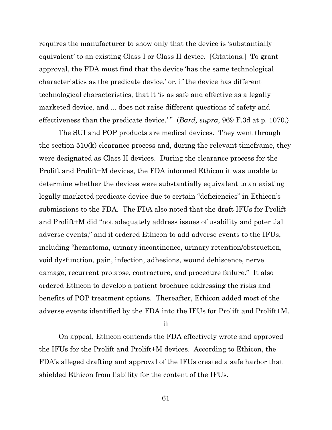requires the manufacturer to show only that the device is 'substantially equivalent' to an existing Class I or Class II device. [Citations.] To grant approval, the FDA must find that the device 'has the same technological characteristics as the predicate device,' or, if the device has different technological characteristics, that it 'is as safe and effective as a legally marketed device, and ... does not raise different questions of safety and effectiveness than the predicate device.' " (*Bard, supra*, 969 F.3d at p. 1070.)

The SUI and POP products are medical devices. They went through the section 510(k) clearance process and, during the relevant timeframe, they were designated as Class II devices. During the clearance process for the Prolift and Prolift+M devices, the FDA informed Ethicon it was unable to determine whether the devices were substantially equivalent to an existing legally marketed predicate device due to certain "deficiencies" in Ethicon's submissions to the FDA. The FDA also noted that the draft IFUs for Prolift and Prolift+M did "not adequately address issues of usability and potential adverse events," and it ordered Ethicon to add adverse events to the IFUs, including "hematoma, urinary incontinence, urinary retention/obstruction, void dysfunction, pain, infection, adhesions, wound dehiscence, nerve damage, recurrent prolapse, contracture, and procedure failure." It also ordered Ethicon to develop a patient brochure addressing the risks and benefits of POP treatment options. Thereafter, Ethicon added most of the adverse events identified by the FDA into the IFUs for Prolift and Prolift+M.

ii

On appeal, Ethicon contends the FDA effectively wrote and approved the IFUs for the Prolift and Prolift+M devices. According to Ethicon, the FDA's alleged drafting and approval of the IFUs created a safe harbor that shielded Ethicon from liability for the content of the IFUs.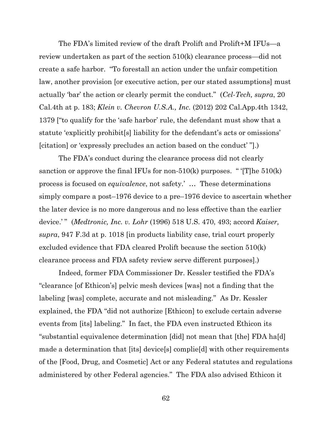The FDA's limited review of the draft Prolift and Prolift+M IFUs—a review undertaken as part of the section 510(k) clearance process—did not create a safe harbor. "To forestall an action under the unfair competition law, another provision [or executive action, per our stated assumptions] must actually 'bar' the action or clearly permit the conduct." (*Cel-Tech, supra*, 20 Cal.4th at p. 183; *Klein v. Chevron U.S.A., Inc.* (2012) 202 Cal.App.4th 1342, 1379 ["to qualify for the 'safe harbor' rule, the defendant must show that a statute 'explicitly prohibit[s] liability for the defendant's acts or omissions' [citation] or 'expressly precludes an action based on the conduct' "].)

The FDA's conduct during the clearance process did not clearly sanction or approve the final IFUs for non- $510(k)$  purposes. " '[T]he  $510(k)$ process is focused on *equivalence*, not safety.' … These determinations simply compare a post–1976 device to a pre–1976 device to ascertain whether the later device is no more dangerous and no less effective than the earlier device.'" (*Medtronic, Inc. v. Lohr* (1996) 518 U.S. 470, 493; accord *Kaiser*, *supra*, 947 F.3d at p. 1018 [in products liability case, trial court properly excluded evidence that FDA cleared Prolift because the section 510(k) clearance process and FDA safety review serve different purposes].)

Indeed, former FDA Commissioner Dr. Kessler testified the FDA's "clearance [of Ethicon's] pelvic mesh devices [was] not a finding that the labeling [was] complete, accurate and not misleading." As Dr. Kessler explained, the FDA "did not authorize [Ethicon] to exclude certain adverse events from [its] labeling." In fact, the FDA even instructed Ethicon its "substantial equivalence determination [did] not mean that [the] FDA ha[d] made a determination that [its] device[s] complie[d] with other requirements of the [Food, Drug, and Cosmetic] Act or any Federal statutes and regulations administered by other Federal agencies." The FDA also advised Ethicon it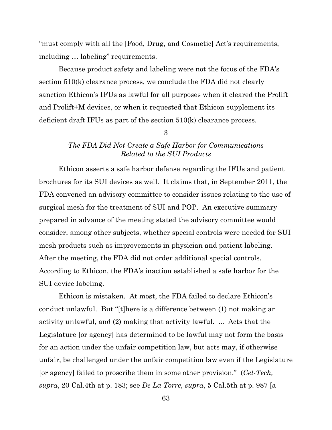"must comply with all the [Food, Drug, and Cosmetic] Act's requirements, including … labeling" requirements.

Because product safety and labeling were not the focus of the FDA's section 510(k) clearance process, we conclude the FDA did not clearly sanction Ethicon's IFUs as lawful for all purposes when it cleared the Prolift and Prolift+M devices, or when it requested that Ethicon supplement its deficient draft IFUs as part of the section 510(k) clearance process.

3

# *The FDA Did Not Create a Safe Harbor for Communications Related to the SUI Products*

Ethicon asserts a safe harbor defense regarding the IFUs and patient brochures for its SUI devices as well. It claims that, in September 2011, the FDA convened an advisory committee to consider issues relating to the use of surgical mesh for the treatment of SUI and POP. An executive summary prepared in advance of the meeting stated the advisory committee would consider, among other subjects, whether special controls were needed for SUI mesh products such as improvements in physician and patient labeling. After the meeting, the FDA did not order additional special controls. According to Ethicon, the FDA's inaction established a safe harbor for the SUI device labeling.

Ethicon is mistaken. At most, the FDA failed to declare Ethicon's conduct unlawful. But "[t]here is a difference between (1) not making an activity unlawful, and (2) making that activity lawful. ... Acts that the Legislature [or agency] has determined to be lawful may not form the basis for an action under the unfair competition law, but acts may, if otherwise unfair, be challenged under the unfair competition law even if the Legislature [or agency] failed to proscribe them in some other provision." (*Cel-Tech, supra*, 20 Cal.4th at p. 183; see *De La Torre, supra*, 5 Cal.5th at p. 987 [a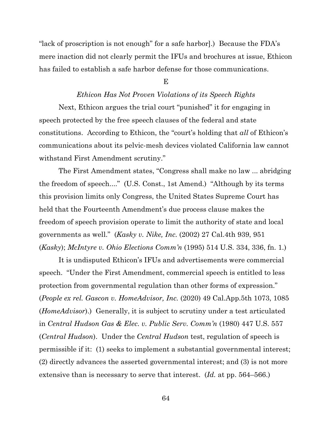"lack of proscription is not enough" for a safe harbor].) Because the FDA's mere inaction did not clearly permit the IFUs and brochures at issue, Ethicon has failed to establish a safe harbor defense for those communications.

#### E

### *Ethicon Has Not Proven Violations of its Speech Rights*

Next, Ethicon argues the trial court "punished" it for engaging in speech protected by the free speech clauses of the federal and state constitutions. According to Ethicon, the "court's holding that *all* of Ethicon's communications about its pelvic-mesh devices violated California law cannot withstand First Amendment scrutiny."

The First Amendment states, "Congress shall make no law ... abridging the freedom of speech...." (U.S. Const., 1st Amend.) "Although by its terms this provision limits only Congress, the United States Supreme Court has held that the Fourteenth Amendment's due process clause makes the freedom of speech provision operate to limit the authority of state and local governments as well." (*Kasky v. Nike, Inc.* (2002) 27 Cal.4th 939, 951 (*Kasky*); *McIntyre v. Ohio Elections Comm'n* (1995) 514 U.S. 334, 336, fn. 1.)

It is undisputed Ethicon's IFUs and advertisements were commercial speech. "Under the First Amendment, commercial speech is entitled to less protection from governmental regulation than other forms of expression." (*People ex rel. Gascon v. HomeAdvisor, Inc.* (2020) 49 Cal.App.5th 1073, 1085 (*HomeAdvisor*).) Generally, it is subject to scrutiny under a test articulated in *Central Hudson Gas & Elec. v. Public Serv. Comm'n* (1980) 447 U.S. 557 (*Central Hudson*). Under the *Central Hudson* test, regulation of speech is permissible if it: (1) seeks to implement a substantial governmental interest; (2) directly advances the asserted governmental interest; and (3) is not more extensive than is necessary to serve that interest. (*Id.* at pp. 564–566.)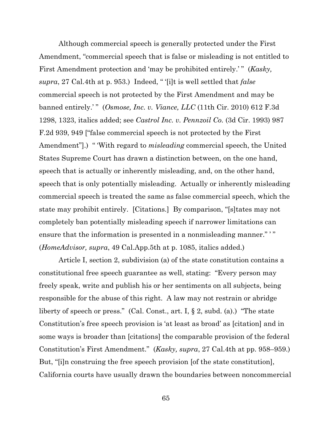Although commercial speech is generally protected under the First Amendment, "commercial speech that is false or misleading is not entitled to First Amendment protection and 'may be prohibited entirely.' " (*Kasky*, *supra*, 27 Cal.4th at p. 953.) Indeed, " '[i]t is well settled that *false* commercial speech is not protected by the First Amendment and may be banned entirely.'" (*Osmose, Inc. v. Viance, LLC* (11th Cir. 2010) 612 F.3d 1298, 1323, italics added; see *Castrol Inc. v. Pennzoil Co.* (3d Cir. 1993) 987 F.2d 939, 949 ["false commercial speech is not protected by the First Amendment".) "With regard to *misleading* commercial speech, the United States Supreme Court has drawn a distinction between, on the one hand, speech that is actually or inherently misleading, and, on the other hand, speech that is only potentially misleading. Actually or inherently misleading commercial speech is treated the same as false commercial speech, which the state may prohibit entirely. [Citations.] By comparison, "[s]tates may not completely ban potentially misleading speech if narrower limitations can ensure that the information is presented in a nonmisleading manner." '" (*HomeAdvisor, supra*, 49 Cal.App.5th at p. 1085, italics added.)

Article I, section 2, subdivision (a) of the state constitution contains a constitutional free speech guarantee as well, stating: "Every person may freely speak, write and publish his or her sentiments on all subjects, being responsible for the abuse of this right. A law may not restrain or abridge liberty of speech or press." (Cal. Const., art. I, § 2, subd. (a).) "The state Constitution's free speech provision is 'at least as broad' as [citation] and in some ways is broader than [citations] the comparable provision of the federal Constitution's First Amendment." (*Kasky, supra*, 27 Cal.4th at pp. 958–959.) But, "[i]n construing the free speech provision [of the state constitution], California courts have usually drawn the boundaries between noncommercial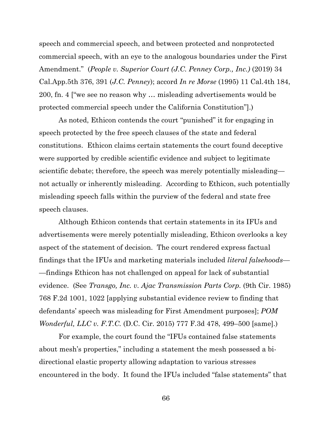speech and commercial speech, and between protected and nonprotected commercial speech, with an eye to the analogous boundaries under the First Amendment." (*People v. Superior Court (J.C. Penney Corp., Inc.)* (2019) 34 Cal.App.5th 376, 391 (*J.C. Penney*); accord *In re Morse* (1995) 11 Cal.4th 184, 200, fn. 4 ["we see no reason why … misleading advertisements would be protected commercial speech under the California Constitution"].)

As noted, Ethicon contends the court "punished" it for engaging in speech protected by the free speech clauses of the state and federal constitutions. Ethicon claims certain statements the court found deceptive were supported by credible scientific evidence and subject to legitimate scientific debate; therefore, the speech was merely potentially misleading not actually or inherently misleading. According to Ethicon, such potentially misleading speech falls within the purview of the federal and state free speech clauses.

Although Ethicon contends that certain statements in its IFUs and advertisements were merely potentially misleading, Ethicon overlooks a key aspect of the statement of decision. The court rendered express factual findings that the IFUs and marketing materials included *literal falsehoods*— —findings Ethicon has not challenged on appeal for lack of substantial evidence. (See *Transgo, Inc. v. Ajac Transmission Parts Corp.* (9th Cir. 1985) 768 F.2d 1001, 1022 [applying substantial evidence review to finding that defendants' speech was misleading for First Amendment purposes]; *POM Wonderful, LLC v. F.T.C.* (D.C. Cir. 2015) 777 F.3d 478, 499–500 [same].)

For example, the court found the "IFUs contained false statements about mesh's properties," including a statement the mesh possessed a bidirectional elastic property allowing adaptation to various stresses encountered in the body. It found the IFUs included "false statements" that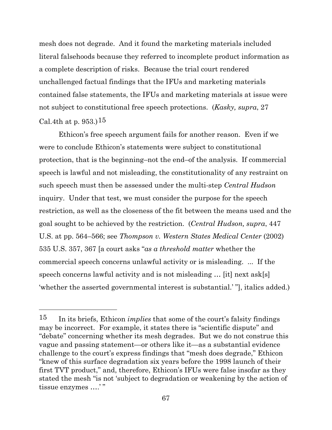mesh does not degrade. And it found the marketing materials included literal falsehoods because they referred to incomplete product information as a complete description of risks. Because the trial court rendered unchallenged factual findings that the IFUs and marketing materials contained false statements, the IFUs and marketing materials at issue were not subject to constitutional free speech protections. (*Kasky, supra*, 27 Cal.4th at p. 953.) $15$ 

Ethicon's free speech argument fails for another reason. Even if we were to conclude Ethicon's statements were subject to constitutional protection, that is the beginning–not the end–of the analysis. If commercial speech is lawful and not misleading, the constitutionality of any restraint on such speech must then be assessed under the multi-step *Central Hudson* inquiry. Under that test, we must consider the purpose for the speech restriction, as well as the closeness of the fit between the means used and the goal sought to be achieved by the restriction. (*Central Hudson, supra*, 447 U.S. at pp. 564–566; see *Thompson v. Western States Medical Center* (2002) 535 U.S. 357, 367 [a court asks "*as a threshold matter* whether the commercial speech concerns unlawful activity or is misleading. ... If the speech concerns lawful activity and is not misleading … [it] next ask[s] 'whether the asserted governmental interest is substantial.' "], italics added.)

<span id="page-66-0"></span><sup>15</sup> In its briefs, Ethicon *implies* that some of the court's falsity findings may be incorrect. For example, it states there is "scientific dispute" and "debate" concerning whether its mesh degrades. But we do not construe this vague and passing statement—or others like it—as a substantial evidence challenge to the court's express findings that "mesh does degrade," Ethicon "knew of this surface degradation six years before the 1998 launch of their first TVT product," and, therefore, Ethicon's IFUs were false insofar as they stated the mesh "is not 'subject to degradation or weakening by the action of tissue enzymes ….' "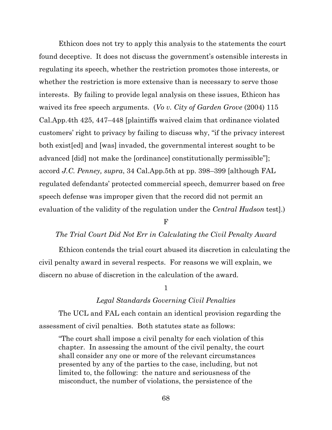Ethicon does not try to apply this analysis to the statements the court found deceptive. It does not discuss the government's ostensible interests in regulating its speech, whether the restriction promotes those interests, or whether the restriction is more extensive than is necessary to serve those interests. By failing to provide legal analysis on these issues, Ethicon has waived its free speech arguments. (*Vo v. City of Garden Grove* (2004) 115 Cal.App.4th 425, 447–448 [plaintiffs waived claim that ordinance violated customers' right to privacy by failing to discuss why, "if the privacy interest both exist[ed] and [was] invaded, the governmental interest sought to be advanced [did] not make the [ordinance] constitutionally permissible"]; accord *J.C. Penney, supra*, 34 Cal.App.5th at pp. 398–399 [although FAL regulated defendants' protected commercial speech, demurrer based on free speech defense was improper given that the record did not permit an evaluation of the validity of the regulation under the *Central Hudson* test].)

F

### *The Trial Court Did Not Err in Calculating the Civil Penalty Award*

Ethicon contends the trial court abused its discretion in calculating the civil penalty award in several respects. For reasons we will explain, we discern no abuse of discretion in the calculation of the award.

### 1

### *Legal Standards Governing Civil Penalties*

The UCL and FAL each contain an identical provision regarding the assessment of civil penalties. Both statutes state as follows:

"The court shall impose a civil penalty for each violation of this chapter. In assessing the amount of the civil penalty, the court shall consider any one or more of the relevant circumstances presented by any of the parties to the case, including, but not limited to, the following: the nature and seriousness of the misconduct, the number of violations, the persistence of the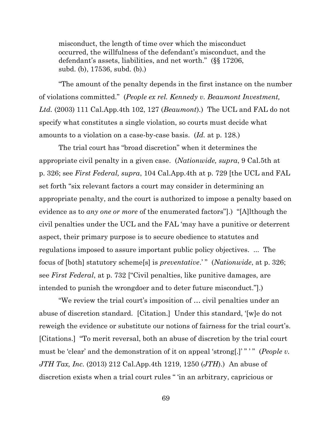misconduct, the length of time over which the misconduct occurred, the willfulness of the defendant's misconduct, and the defendant's assets, liabilities, and net worth." (§§ 17206, subd. (b), 17536, subd. (b).)

"The amount of the penalty depends in the first instance on the number of violations committed." (*People ex rel. Kennedy v. Beaumont Investment, Ltd.* (2003) 111 Cal.App.4th 102, 127 (*Beaumont*).) The UCL and FAL do not specify what constitutes a single violation, so courts must decide what amounts to a violation on a case-by-case basis. (*Id.* at p. 128*.*)

The trial court has "broad discretion" when it determines the appropriate civil penalty in a given case. (*Nationwide, supra*, 9 Cal.5th at p. 326; see *First Federal, supra*, 104 Cal.App.4th at p. 729 [the UCL and FAL set forth "six relevant factors a court may consider in determining an appropriate penalty, and the court is authorized to impose a penalty based on evidence as to *any one or more* of the enumerated factors"].) "[A]lthough the civil penalties under the UCL and the FAL 'may have a punitive or deterrent aspect, their primary purpose is to secure obedience to statutes and regulations imposed to assure important public policy objectives. ... The focus of [both] statutory scheme[s] is *preventative*.' " (*Nationwide*, at p. 326; see *First Federal*, at p. 732 ["Civil penalties, like punitive damages, are intended to punish the wrongdoer and to deter future misconduct."].)

"We review the trial court's imposition of … civil penalties under an abuse of discretion standard. [Citation.] Under this standard, '[w]e do not reweigh the evidence or substitute our notions of fairness for the trial court's. [Citations.] "To merit reversal, both an abuse of discretion by the trial court must be 'clear' and the demonstration of it on appeal 'strong[.]'"'" (*People v. JTH Tax, Inc.* (2013) 212 Cal.App.4th 1219, 1250 (*JTH*).) An abuse of discretion exists when a trial court rules " 'in an arbitrary, capricious or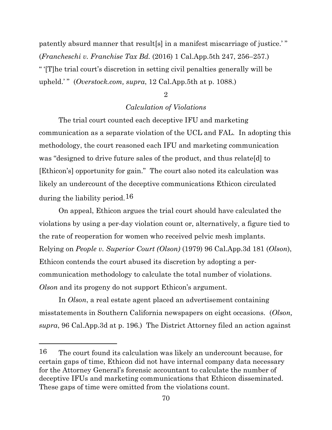patently absurd manner that result[s] in a manifest miscarriage of justice.' " (*Francheschi v. Franchise Tax Bd.* (2016) 1 Cal.App.5th 247, 256–257.) " '[T]he trial court's discretion in setting civil penalties generally will be upheld.' " (*Overstock.com, supra*, 12 Cal.App.5th at p. 1088.)

### 2

### *Calculation of Violations*

The trial court counted each deceptive IFU and marketing communication as a separate violation of the UCL and FAL. In adopting this methodology, the court reasoned each IFU and marketing communication was "designed to drive future sales of the product, and thus relate[d] to [Ethicon's] opportunity for gain." The court also noted its calculation was likely an undercount of the deceptive communications Ethicon circulated during the liability period.[16](#page-69-0)

On appeal, Ethicon argues the trial court should have calculated the violations by using a per-day violation count or, alternatively, a figure tied to the rate of reoperation for women who received pelvic mesh implants. Relying on *People v. Superior Court (Olson)* (1979) 96 Cal.App.3d 181 (*Olson*), Ethicon contends the court abused its discretion by adopting a percommunication methodology to calculate the total number of violations. *Olson* and its progeny do not support Ethicon's argument.

In *Olson*, a real estate agent placed an advertisement containing misstatements in Southern California newspapers on eight occasions. (*Olson, supra*, 96 Cal.App.3d at p. 196.) The District Attorney filed an action against

<span id="page-69-0"></span><sup>16</sup> The court found its calculation was likely an undercount because, for certain gaps of time, Ethicon did not have internal company data necessary for the Attorney General's forensic accountant to calculate the number of deceptive IFUs and marketing communications that Ethicon disseminated. These gaps of time were omitted from the violations count.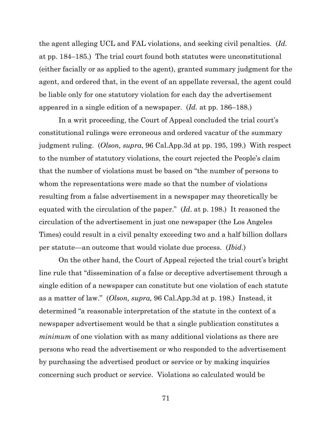the agent alleging UCL and FAL violations, and seeking civil penalties. (*Id.* at pp. 184–185.) The trial court found both statutes were unconstitutional (either facially or as applied to the agent), granted summary judgment for the agent, and ordered that, in the event of an appellate reversal, the agent could be liable only for one statutory violation for each day the advertisement appeared in a single edition of a newspaper. (*Id.* at pp. 186–188.)

In a writ proceeding, the Court of Appeal concluded the trial court's constitutional rulings were erroneous and ordered vacatur of the summary judgment ruling. (*Olson, supra*, 96 Cal.App.3d at pp. 195, 199.) With respect to the number of statutory violations, the court rejected the People's claim that the number of violations must be based on "the number of persons to whom the representations were made so that the number of violations resulting from a false advertisement in a newspaper may theoretically be equated with the circulation of the paper." (*Id*. at p. 198.) It reasoned the circulation of the advertisement in just one newspaper (the Los Angeles Times) could result in a civil penalty exceeding two and a half billion dollars per statute—an outcome that would violate due process. (*Ibid*.)

On the other hand, the Court of Appeal rejected the trial court's bright line rule that "dissemination of a false or deceptive advertisement through a single edition of a newspaper can constitute but one violation of each statute as a matter of law." (*Olson, supra,* 96 Cal.App.3d at p. 198.) Instead, it determined "a reasonable interpretation of the statute in the context of a newspaper advertisement would be that a single publication constitutes a *minimum* of one violation with as many additional violations as there are persons who read the advertisement or who responded to the advertisement by purchasing the advertised product or service or by making inquiries concerning such product or service. Violations so calculated would be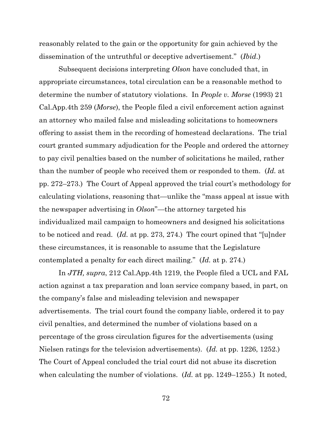reasonably related to the gain or the opportunity for gain achieved by the dissemination of the untruthful or deceptive advertisement." (*Ibid*.)

Subsequent decisions interpreting *Olson* have concluded that, in appropriate circumstances, total circulation can be a reasonable method to determine the number of statutory violations. In *People v. Morse* (1993) 21 Cal.App.4th 259 (*Morse*), the People filed a civil enforcement action against an attorney who mailed false and misleading solicitations to homeowners offering to assist them in the recording of homestead declarations. The trial court granted summary adjudication for the People and ordered the attorney to pay civil penalties based on the number of solicitations he mailed, rather than the number of people who received them or responded to them. (*Id.* at pp. 272–273.) The Court of Appeal approved the trial court's methodology for calculating violations, reasoning that—unlike the "mass appeal at issue with the newspaper advertising in *Olson*"—the attorney targeted his individualized mail campaign to homeowners and designed his solicitations to be noticed and read. (*Id.* at pp. 273, 274.) The court opined that "[u]nder these circumstances, it is reasonable to assume that the Legislature contemplated a penalty for each direct mailing." (*Id.* at p. 274.)

In *JTH, supra*, 212 Cal.App.4th 1219, the People filed a UCL and FAL action against a tax preparation and loan service company based, in part, on the company's false and misleading television and newspaper advertisements. The trial court found the company liable, ordered it to pay civil penalties, and determined the number of violations based on a percentage of the gross circulation figures for the advertisements (using Nielsen ratings for the television advertisements). (*Id.* at pp. 1226, 1252.) The Court of Appeal concluded the trial court did not abuse its discretion when calculating the number of violations. (*Id.* at pp. 1249–1255.) It noted,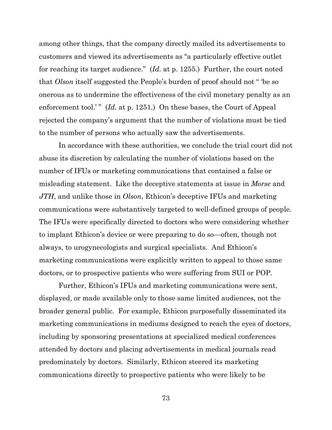among other things, that the company directly mailed its advertisements to customers and viewed its advertisements as "a particularly effective outlet for reaching its target audience." (*Id.* at p. 1255.) Further, the court noted that *Olson* itself suggested the People's burden of proof should not " 'be so onerous as to undermine the effectiveness of the civil monetary penalty as an enforcement tool.'" (*Id.* at p. 1251.) On these bases, the Court of Appeal rejected the company's argument that the number of violations must be tied to the number of persons who actually saw the advertisements.

In accordance with these authorities, we conclude the trial court did not abuse its discretion by calculating the number of violations based on the number of IFUs or marketing communications that contained a false or misleading statement. Like the deceptive statements at issue in *Morse* and *JTH*, and unlike those in *Olson*, Ethicon's deceptive IFUs and marketing communications were substantively targeted to well-defined groups of people. The IFUs were specifically directed to doctors who were considering whether to implant Ethicon's device or were preparing to do so—often, though not always, to urogynecologists and surgical specialists. And Ethicon's marketing communications were explicitly written to appeal to those same doctors, or to prospective patients who were suffering from SUI or POP.

Further, Ethicon's IFUs and marketing communications were sent, displayed, or made available only to those same limited audiences, not the broader general public. For example, Ethicon purposefully disseminated its marketing communications in mediums designed to reach the eyes of doctors, including by sponsoring presentations at specialized medical conferences attended by doctors and placing advertisements in medical journals read predominately by doctors. Similarly, Ethicon steered its marketing communications directly to prospective patients who were likely to be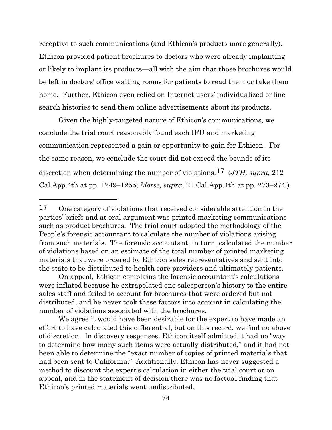receptive to such communications (and Ethicon's products more generally). Ethicon provided patient brochures to doctors who were already implanting or likely to implant its products—all with the aim that those brochures would be left in doctors' office waiting rooms for patients to read them or take them home. Further, Ethicon even relied on Internet users' individualized online search histories to send them online advertisements about its products.

Given the highly-targeted nature of Ethicon's communications, we conclude the trial court reasonably found each IFU and marketing communication represented a gain or opportunity to gain for Ethicon. For the same reason, we conclude the court did not exceed the bounds of its discretion when determining the number of violations.[17](#page-73-0) (*JTH, supra*, 212 Cal.App.4th at pp. 1249–1255; *Morse, supra*, 21 Cal.App.4th at pp. 273–274.)

On appeal, Ethicon complains the forensic accountant's calculations were inflated because he extrapolated one salesperson's history to the entire sales staff and failed to account for brochures that were ordered but not distributed, and he never took these factors into account in calculating the number of violations associated with the brochures.

We agree it would have been desirable for the expert to have made an effort to have calculated this differential, but on this record, we find no abuse of discretion. In discovery responses, Ethicon itself admitted it had no "way to determine how many such items were actually distributed," and it had not been able to determine the "exact number of copies of printed materials that had been sent to California." Additionally, Ethicon has never suggested a method to discount the expert's calculation in either the trial court or on appeal, and in the statement of decision there was no factual finding that Ethicon's printed materials went undistributed.

<span id="page-73-0"></span><sup>17</sup> One category of violations that received considerable attention in the parties' briefs and at oral argument was printed marketing communications such as product brochures. The trial court adopted the methodology of the People's forensic accountant to calculate the number of violations arising from such materials. The forensic accountant, in turn, calculated the number of violations based on an estimate of the total number of printed marketing materials that were ordered by Ethicon sales representatives and sent into the state to be distributed to health care providers and ultimately patients.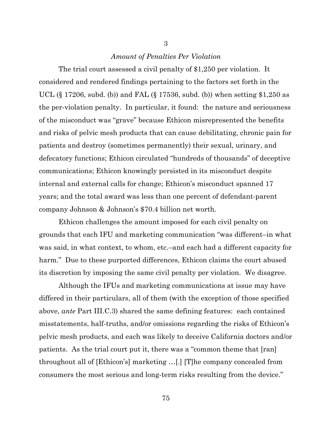# *Amount of Penalties Per Violation*

The trial court assessed a civil penalty of \$1,250 per violation. It considered and rendered findings pertaining to the factors set forth in the UCL (§ 17206, subd. (b)) and FAL (§ 17536, subd. (b)) when setting \$1,250 as the per-violation penalty. In particular, it found: the nature and seriousness of the misconduct was "grave" because Ethicon misrepresented the benefits and risks of pelvic mesh products that can cause debilitating, chronic pain for patients and destroy (sometimes permanently) their sexual, urinary, and defecatory functions; Ethicon circulated "hundreds of thousands" of deceptive communications; Ethicon knowingly persisted in its misconduct despite internal and external calls for change; Ethicon's misconduct spanned 17 years; and the total award was less than one percent of defendant-parent company Johnson & Johnson's \$70.4 billion net worth.

Ethicon challenges the amount imposed for each civil penalty on grounds that each IFU and marketing communication "was different–in what was said, in what context, to whom, etc.–and each had a different capacity for harm." Due to these purported differences, Ethicon claims the court abused its discretion by imposing the same civil penalty per violation. We disagree.

Although the IFUs and marketing communications at issue may have differed in their particulars, all of them (with the exception of those specified above, *ante* Part III.C.3) shared the same defining features: each contained misstatements, half-truths, and/or omissions regarding the risks of Ethicon's pelvic mesh products, and each was likely to deceive California doctors and/or patients. As the trial court put it, there was a "common theme that [ran] throughout all of [Ethicon's] marketing …[.] [T]he company concealed from consumers the most serious and long-term risks resulting from the device."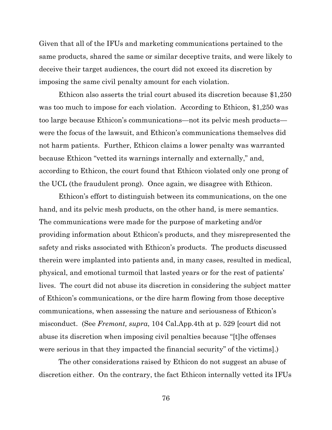Given that all of the IFUs and marketing communications pertained to the same products, shared the same or similar deceptive traits, and were likely to deceive their target audiences, the court did not exceed its discretion by imposing the same civil penalty amount for each violation.

Ethicon also asserts the trial court abused its discretion because \$1,250 was too much to impose for each violation. According to Ethicon, \$1,250 was too large because Ethicon's communications—not its pelvic mesh products were the focus of the lawsuit, and Ethicon's communications themselves did not harm patients. Further, Ethicon claims a lower penalty was warranted because Ethicon "vetted its warnings internally and externally," and, according to Ethicon, the court found that Ethicon violated only one prong of the UCL (the fraudulent prong). Once again, we disagree with Ethicon.

Ethicon's effort to distinguish between its communications, on the one hand, and its pelvic mesh products, on the other hand, is mere semantics. The communications were made for the purpose of marketing and/or providing information about Ethicon's products, and they misrepresented the safety and risks associated with Ethicon's products. The products discussed therein were implanted into patients and, in many cases, resulted in medical, physical, and emotional turmoil that lasted years or for the rest of patients' lives. The court did not abuse its discretion in considering the subject matter of Ethicon's communications, or the dire harm flowing from those deceptive communications, when assessing the nature and seriousness of Ethicon's misconduct. (See *Fremont, supra*, 104 Cal.App.4th at p. 529 [court did not abuse its discretion when imposing civil penalties because "[t]he offenses were serious in that they impacted the financial security" of the victims].)

The other considerations raised by Ethicon do not suggest an abuse of discretion either. On the contrary, the fact Ethicon internally vetted its IFUs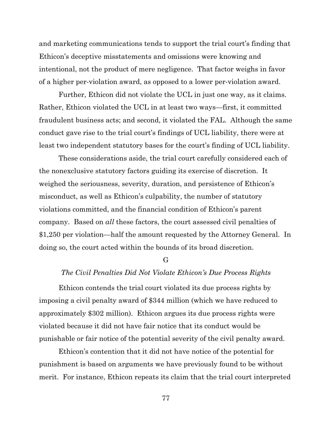and marketing communications tends to support the trial court's finding that Ethicon's deceptive misstatements and omissions were knowing and intentional, not the product of mere negligence. That factor weighs in favor of a higher per-violation award, as opposed to a lower per-violation award.

Further, Ethicon did not violate the UCL in just one way, as it claims. Rather, Ethicon violated the UCL in at least two ways—first, it committed fraudulent business acts; and second, it violated the FAL. Although the same conduct gave rise to the trial court's findings of UCL liability, there were at least two independent statutory bases for the court's finding of UCL liability.

These considerations aside, the trial court carefully considered each of the nonexclusive statutory factors guiding its exercise of discretion. It weighed the seriousness, severity, duration, and persistence of Ethicon's misconduct, as well as Ethicon's culpability, the number of statutory violations committed, and the financial condition of Ethicon's parent company. Based on *all* these factors, the court assessed civil penalties of \$1,250 per violation—half the amount requested by the Attorney General. In doing so, the court acted within the bounds of its broad discretion.

G

## *The Civil Penalties Did Not Violate Ethicon's Due Process Rights*

Ethicon contends the trial court violated its due process rights by imposing a civil penalty award of \$344 million (which we have reduced to approximately \$302 million). Ethicon argues its due process rights were violated because it did not have fair notice that its conduct would be punishable or fair notice of the potential severity of the civil penalty award.

Ethicon's contention that it did not have notice of the potential for punishment is based on arguments we have previously found to be without merit. For instance, Ethicon repeats its claim that the trial court interpreted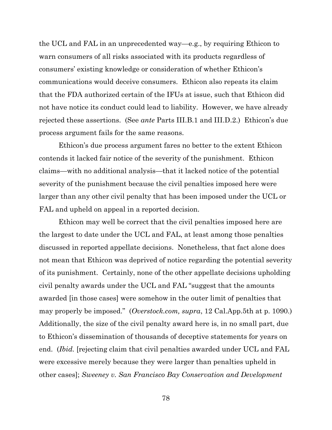the UCL and FAL in an unprecedented way—e.g., by requiring Ethicon to warn consumers of all risks associated with its products regardless of consumers' existing knowledge or consideration of whether Ethicon's communications would deceive consumers. Ethicon also repeats its claim that the FDA authorized certain of the IFUs at issue, such that Ethicon did not have notice its conduct could lead to liability. However, we have already rejected these assertions. (See *ante* Parts III.B.1 and III.D.2.) Ethicon's due process argument fails for the same reasons.

Ethicon's due process argument fares no better to the extent Ethicon contends it lacked fair notice of the severity of the punishment. Ethicon claims—with no additional analysis—that it lacked notice of the potential severity of the punishment because the civil penalties imposed here were larger than any other civil penalty that has been imposed under the UCL or FAL and upheld on appeal in a reported decision.

Ethicon may well be correct that the civil penalties imposed here are the largest to date under the UCL and FAL, at least among those penalties discussed in reported appellate decisions. Nonetheless, that fact alone does not mean that Ethicon was deprived of notice regarding the potential severity of its punishment. Certainly, none of the other appellate decisions upholding civil penalty awards under the UCL and FAL "suggest that the amounts awarded [in those cases] were somehow in the outer limit of penalties that may properly be imposed." (*Overstock.com, supra*, 12 Cal.App.5th at p. 1090.) Additionally, the size of the civil penalty award here is, in no small part, due to Ethicon's dissemination of thousands of deceptive statements for years on end. (*Ibid.* [rejecting claim that civil penalties awarded under UCL and FAL were excessive merely because they were larger than penalties upheld in other cases]; *Sweeney v. San Francisco Bay Conservation and Development*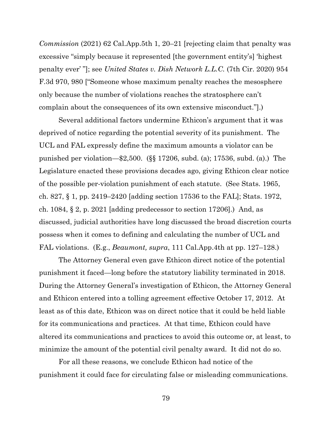*Commission* (2021) 62 Cal.App.5th 1, 20–21 [rejecting claim that penalty was excessive "simply because it represented [the government entity's] 'highest penalty ever' "]; see *United States v. Dish Network L.L.C.* (7th Cir. 2020) 954 F.3d 970, 980 ["Someone whose maximum penalty reaches the mesosphere only because the number of violations reaches the stratosphere can't complain about the consequences of its own extensive misconduct."].)

Several additional factors undermine Ethicon's argument that it was deprived of notice regarding the potential severity of its punishment. The UCL and FAL expressly define the maximum amounts a violator can be punished per violation—\$2,500. (§§ 17206, subd. (a); 17536, subd. (a).) The Legislature enacted these provisions decades ago, giving Ethicon clear notice of the possible per-violation punishment of each statute. (See Stats. 1965, ch. 827, § 1, pp. 2419–2420 [adding section 17536 to the FAL]; Stats. 1972, ch. 1084,  $\S 2$ , p. 2021 [adding predecessor to section 17206].) And, as discussed, judicial authorities have long discussed the broad discretion courts possess when it comes to defining and calculating the number of UCL and FAL violations. (E.g., *Beaumont, supra*, 111 Cal.App.4th at pp. 127–128.)

The Attorney General even gave Ethicon direct notice of the potential punishment it faced—long before the statutory liability terminated in 2018. During the Attorney General's investigation of Ethicon, the Attorney General and Ethicon entered into a tolling agreement effective October 17, 2012. At least as of this date, Ethicon was on direct notice that it could be held liable for its communications and practices. At that time, Ethicon could have altered its communications and practices to avoid this outcome or, at least, to minimize the amount of the potential civil penalty award. It did not do so.

For all these reasons, we conclude Ethicon had notice of the punishment it could face for circulating false or misleading communications.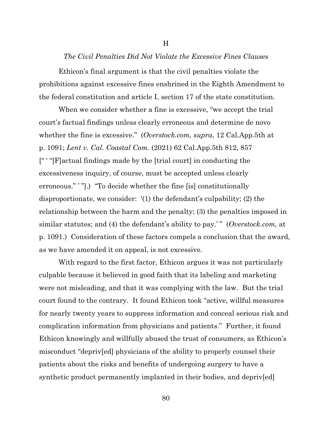### *The Civil Penalties Did Not Violate the Excessive Fines Clauses*

H

Ethicon's final argument is that the civil penalties violate the prohibitions against excessive fines enshrined in the Eighth Amendment to the federal constitution and article I, section 17 of the state constitution.

When we consider whether a fine is excessive, "we accept the trial court's factual findings unless clearly erroneous and determine de novo whether the fine is excessive." (*Overstock.com, supra*, 12 Cal.App.5th at p. 1091; *Lent v. Cal. Coastal Com.* (2021) 62 Cal.App.5th 812, 857 [" ' "[F]actual findings made by the [trial court] in conducting the excessiveness inquiry, of course, must be accepted unless clearly erroneous." "".) "To decide whether the fine [is] constitutionally disproportionate, we consider: '(1) the defendant's culpability; (2) the relationship between the harm and the penalty; (3) the penalties imposed in similar statutes; and (4) the defendant's ability to pay.' " (*Overstock.com,* at p. 1091.) Consideration of these factors compels a conclusion that the award, as we have amended it on appeal, is not excessive.

With regard to the first factor, Ethicon argues it was not particularly culpable because it believed in good faith that its labeling and marketing were not misleading, and that it was complying with the law. But the trial court found to the contrary. It found Ethicon took "active, willful measures for nearly twenty years to suppress information and conceal serious risk and complication information from physicians and patients." Further, it found Ethicon knowingly and willfully abused the trust of consumers, as Ethicon's misconduct "depriv[ed] physicians of the ability to properly counsel their patients about the risks and benefits of undergoing surgery to have a synthetic product permanently implanted in their bodies, and depriv[ed]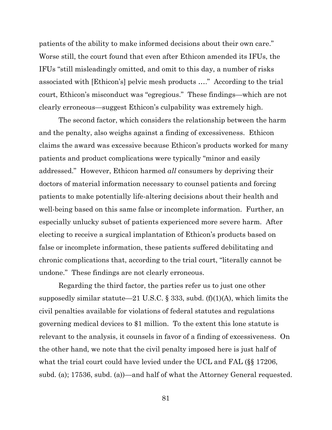patients of the ability to make informed decisions about their own care." Worse still, the court found that even after Ethicon amended its IFUs, the IFUs "still misleadingly omitted, and omit to this day, a number of risks associated with [Ethicon's] pelvic mesh products …." According to the trial court, Ethicon's misconduct was "egregious." These findings—which are not clearly erroneous—suggest Ethicon's culpability was extremely high.

The second factor, which considers the relationship between the harm and the penalty, also weighs against a finding of excessiveness. Ethicon claims the award was excessive because Ethicon's products worked for many patients and product complications were typically "minor and easily addressed." However, Ethicon harmed *all* consumers by depriving their doctors of material information necessary to counsel patients and forcing patients to make potentially life-altering decisions about their health and well-being based on this same false or incomplete information. Further, an especially unlucky subset of patients experienced more severe harm. After electing to receive a surgical implantation of Ethicon's products based on false or incomplete information, these patients suffered debilitating and chronic complications that, according to the trial court, "literally cannot be undone." These findings are not clearly erroneous.

Regarding the third factor, the parties refer us to just one other supposedly similar statute—21 U.S.C. § 333, subd.  $(f)(1)(A)$ , which limits the civil penalties available for violations of federal statutes and regulations governing medical devices to \$1 million. To the extent this lone statute is relevant to the analysis, it counsels in favor of a finding of excessiveness. On the other hand, we note that the civil penalty imposed here is just half of what the trial court could have levied under the UCL and FAL (§§ 17206, subd. (a); 17536, subd. (a))—and half of what the Attorney General requested.